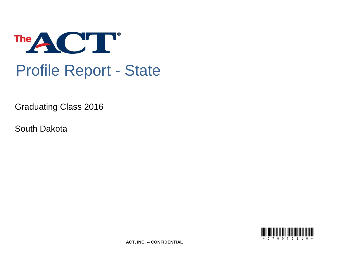

Graduating Class 2016

South Dakota

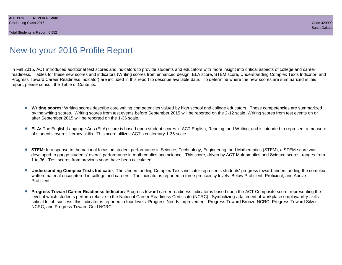# New to your 2016 Profile Report

In Fall 2015, ACT introduced additional test scores and indicators to provide students and educators with more insight into critical aspects of college and career readiness. Tables for these new scores and indicators (Writing scores from enhanced design, ELA score, STEM score, Understanding Complex Texts Indicator, and Progress Toward Career Readiness Indicator) are included in this report to describe available data. To determine where the new scores are summarized in this report, please consult the Table of Contents.

- **Writing scores:** Writing scores describe core writing competencies valued by high school and college educators. These competencies are summarized by the writing scores. Writing scores from test events before September 2015 will be reported on the 2-12 scale. Writing scores from test events on or after September 2015 will be reported on the 1-36 scale.
- **ELA:** The English Language Arts (ELA) score is based upon student scores in ACT English, Reading, and Writing, and is intended to represent a measure of students' overall literacy skills. This score utilizes ACT's customary 1-36 scale.
- **STEM:** In response to the national focus on student performance in Science, Technology, Engineering, and Mathematics (STEM), a STEM score was developed to gauge students' overall performance in mathematics and science. This score, driven by ACT Matehmatics and Science scores, ranges from 1 to 36. Test scores from previous years have been calculated.
- **Understanding Complex Texts Indicator:** The Understanding Complex Texts indicator represents students' progress toward understanding the complex written material encountered in college and careers. The indicator is reported in three proficiency levels: Below Proficient, Proficient, and Above Proficient.
- **Progress Toward Career Readiness Indicator:** Progress toward career readiness indicator is based upon the ACT Composite score, representing the level at which students perform relative to the National Career Readiness Certificate (NCRC). Symbolizing attainment of workplace employability skills critical to job success, this indicator is reported in four levels: Progress Needs Improvement, Progress Toward Bronze NCRC, Progress Toward Silver NCRC, and Progress Toward Gold NCRC.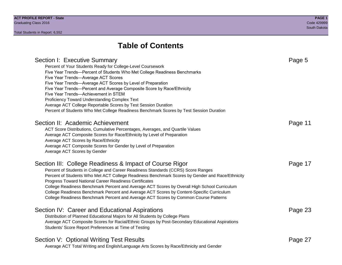| <b>ACT PROFILE REPORT - State</b> | <b>PAGE</b> |
|-----------------------------------|-------------|
| Graduating Class 2016             | Code 429999 |

| Section I: Executive Summary<br>Percent of Your Students Ready for College-Level Coursework<br>Five Year Trends-Percent of Students Who Met College Readiness Benchmarks<br>Five Year Trends-Average ACT Scores<br>Five Year Trends-Average ACT Scores by Level of Preparation<br>Five Year Trends-Percent and Average Composite Score by Race/Ethnicity<br>Five Year Trends-Achievement in STEM<br><b>Proficiency Toward Understanding Complex Text</b><br>Average ACT College Reportable Scores by Test Session Duration<br>Percent of Students Who Met College Readiness Benchmark Scores by Test Session Duration | Page 5  |
|-----------------------------------------------------------------------------------------------------------------------------------------------------------------------------------------------------------------------------------------------------------------------------------------------------------------------------------------------------------------------------------------------------------------------------------------------------------------------------------------------------------------------------------------------------------------------------------------------------------------------|---------|
| Section II: Academic Achievement<br>ACT Score Distributions, Cumulative Percentages, Averages, and Quartile Values<br>Average ACT Composite Scores for Race/Ethnicity by Level of Preparation<br>Average ACT Scores by Race/Ethnicity<br>Average ACT Composite Scores for Gender by Level of Preparation<br>Average ACT Scores by Gender                                                                                                                                                                                                                                                                              | Page 11 |
| Section III: College Readiness & Impact of Course Rigor<br>Percent of Students in College and Career Readiness Standards (CCRS) Score Ranges<br>Percent of Students Who Met ACT College Readiness Benchmark Scores by Gender and Race/Ethnicity<br>Progress Toward National Career Readiness Certificates<br>College Readiness Benchmark Percent and Average ACT Scores by Overall High School Curriculum<br>College Readiness Benchmark Percent and Average ACT Scores by Content-Specific Curriculum<br>College Readiness Benchmark Percent and Average ACT Scores by Common Course Patterns                        | Page 17 |
| Section IV: Career and Educational Aspirations<br>Distribution of Planned Educational Majors for All Students by College Plans<br>Average ACT Composite Scores for Racial/Ethnic Groups by Post-Secondary Educational Aspirations<br>Students' Score Report Preferences at Time of Testing                                                                                                                                                                                                                                                                                                                            | Page 23 |
| Section V: Optional Writing Test Results<br>Average ACT Total Writing and English/Language Arts Scores by Race/Ethnicity and Gender                                                                                                                                                                                                                                                                                                                                                                                                                                                                                   | Page 27 |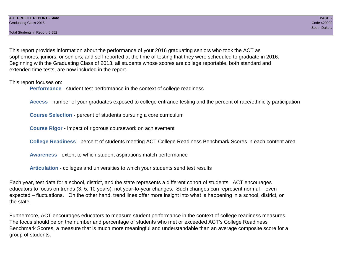This report provides information about the performance of your 2016 graduating seniors who took the ACT as sophomores, juniors, or seniors; and self-reported at the time of testing that they were scheduled to graduate in 2016. Beginning with the Graduating Class of 2013, all students whose scores are college reportable, both standard and extended time tests, are now included in the report.

This report focuses on:

**Performance** - student test performance in the context of college readiness

**Access** - number of your graduates exposed to college entrance testing and the percent of race/ethnicity participation

**Course Selection** - percent of students pursuing a core curriculum

**Course Rigor** - impact of rigorous coursework on achievement

**College Readiness** - percent of students meeting ACT College Readiness Benchmark Scores in each content area

**Awareness** - extent to which student aspirations match performance

**Articulation** - colleges and universities to which your students send test results

Each year, test data for a school, district, and the state represents a different cohort of students. ACT encourages educators to focus on trends (3, 5, 10 years), not year-to-year changes. Such changes can represent normal – even expected – fluctuations. On the other hand, trend lines offer more insight into what is happening in a school, district, or the state.

Furthermore, ACT encourages educators to measure student performance in the context of college readiness measures. The focus should be on the number and percentage of students who met or exceeded ACT's College Readiness Benchmark Scores, a measure that is much more meaningful and understandable than an average composite score for a group of students.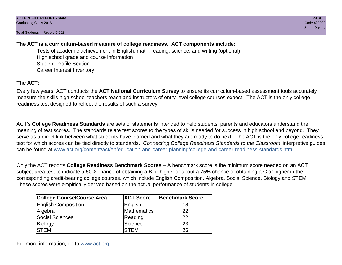# **The ACT is a curriculum-based measure of college readiness. ACT components include:**

Tests of academic achievement in English, math, reading, science, and writing (optional) High school grade and course information Student Profile Section Career Interest Inventory

# **The ACT:**

Every few years, ACT conducts the **ACT National Curriculum Survey** to ensure its curriculum-based assessment tools accurately measure the skills high school teachers teach and instructors of entry-level college courses expect. The ACT is the only college readiness test designed to reflect the results of such a survey.

ACT's **College Readiness Standards** are sets of statements intended to help students, parents and educators understand the meaning of test scores. The standards relate test scores to the types of skills needed for success in high school and beyond. They serve as a direct link between what students have learned and what they are ready to do next. The ACT is the only college readiness test for which scores can be tied directly to standards. *Connecting College Readiness Standards to the Classroom* interpretive guides can be found at www.act.org/content/act/en/education-and-career-planning/college-and-career-readiness-standards.html.

Only the ACT reports **College Readiness Benchmark Scores** – A benchmark score is the minimum score needed on an ACT subject-area test to indicate a 50% chance of obtaining a B or higher or about a 75% chance of obtaining a C or higher in the corresponding credit-bearing college courses, which include English Composition, Algebra, Social Science, Biology and STEM. These scores were empirically derived based on the actual performance of students in college.

| College Course/Course Area | <b>ACT Score</b> | <b>Benchmark Score</b> |
|----------------------------|------------------|------------------------|
| <b>English Composition</b> | English          | 18                     |
| Algebra                    | Mathematics      | 22                     |
| <b>Social Sciences</b>     | Reading          | 22                     |
| Biology                    | Science          | 23                     |
| <b>ISTEM</b>               | <b>STEM</b>      | 26                     |

For more information, go to www.act.org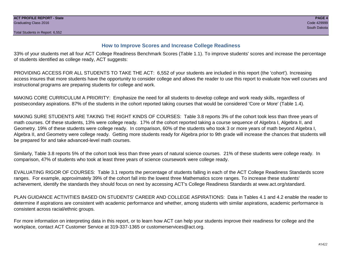# **How to Improve Scores and Increase College Readiness**

33% of your students met all four ACT College Readiness Benchmark Scores (Table 1.1). To improve students' scores and increase the percentage of students identified as college ready, ACT suggests:

PROVIDING ACCESS FOR ALL STUDENTS TO TAKE THE ACT: 6,552 of your students are included in this report (the 'cohort'). Increasing access insures that more students have the opportunity to consider college and allows the reader to use this report to evaluate how well courses and instructional programs are preparing students for college and work.

MAKING CORE CURRICULUM A PRIORITY: Emphasize the need for all students to develop college and work ready skills, regardless of postsecondary aspirations. 87% of the students in the cohort reported taking courses that would be considered 'Core or More' (Table 1.4).

MAKING SURE STUDENTS ARE TAKING THE RIGHT KINDS OF COURSES: Table 3.8 reports 3% of the cohort took less than three years of math courses. Of these students, 13% were college ready. 17% of the cohort reported taking a course sequence of Algebra I, Algebra II, and Geometry. 19% of these students were college ready. In comparison, 60% of the students who took 3 or more years of math beyond Algebra I, Algebra II, and Geometry were college ready. Getting more students ready for Algebra prior to 9th grade will increase the chances that students will be prepared for and take advanced-level math courses.

Similarly, Table 3.8 reports 5% of the cohort took less than three years of natural science courses. 21% of these students were college ready. In comparison, 47% of students who took at least three years of science coursework were college ready.

EVALUATING RIGOR OF COURSES: Table 3.1 reports the percentage of students falling in each of the ACT College Readiness Standards score ranges. For example, approximately 39% of the cohort fall into the lowest three Mathematics score ranges. To increase these students' achievement, identify the standards they should focus on next by accessing ACT's College Readiness Standards at www.act.org/standard.

PLAN GUIDANCE ACTIVITIES BASED ON STUDENTS' CAREER AND COLLEGE ASPIRATIONS: Data in Tables 4.1 and 4.2 enable the reader to determine if aspirations are consistent with academic performance and whether, among students with similar aspirations, academic performance is consistent across racial/ethnic groups.

For more information on interpreting data in this report, or to learn how ACT can help your students improve their readiness for college and the workplace, contact ACT Customer Service at 319-337-1365 or customerservices@act.org.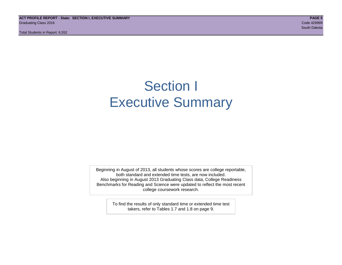**ACT PROFILE REPORT - State: SECTION I, EXECUTIVE SUMMARY PAGE 5** Graduating Class 2016 Code 429999

Total Students in Report: 6,552

# Section I Executive Summary

Beginning in August of 2013, all students whose scores are college reportable, both standard and extended time tests, are now included. Also beginning in August 2013 Graduating Class data, College Readiness Benchmarks for Reading and Science were updated to reflect the most recent college coursework research.

> To find the results of only standard time or extended time test takers, refer to Tables 1.7 and 1.8 on page 9.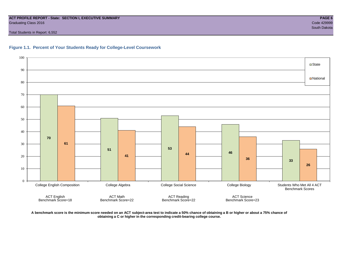#### **ACT PROFILE REPORT - State: SECTION I, EXECUTIVE SUMMARY PAGE 6** Graduating Class 2016 Code 429999

Total Students in Report: 6,552



## **Figure 1.1. Percent of Your Students Ready for College-Level Coursework**

**A benchmark score is the minimum score needed on an ACT subject-area test to indicate a 50% chance of obtaining a B or higher or about a 75% chance of obtaining a C or higher in the corresponding credit-bearing college course.**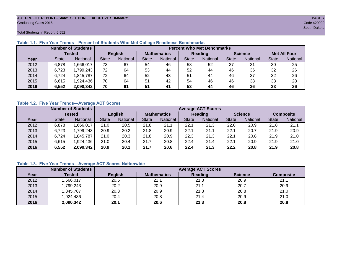# **ACT PROFILE REPORT - State: SECTION I, EXECUTIVE SUMMARY PAGE 7** Graduating Class 2016 Code 429999

South Dakota

Total Students in Report: 6,552

|  | Table 1.1. Five Year Trends-Percent of Students Who Met College Readiness Benchmarks |  |  |  |
|--|--------------------------------------------------------------------------------------|--|--|--|
|--|--------------------------------------------------------------------------------------|--|--|--|

|      |              | <b>Number of Students</b> | <b>Percent Who Met Benchmarks</b> |                |       |                    |              |                 |       |                |                     |          |  |  |
|------|--------------|---------------------------|-----------------------------------|----------------|-------|--------------------|--------------|-----------------|-------|----------------|---------------------|----------|--|--|
|      |              | Tested                    |                                   | <b>English</b> |       | <b>Mathematics</b> |              | Reading         |       | <b>Science</b> | <b>Met All Four</b> |          |  |  |
| Year | <b>State</b> | <b>National</b>           | <b>State</b><br><b>National</b>   |                | State | <b>National</b>    | <b>State</b> | <b>National</b> | State | National       | <b>State</b>        | National |  |  |
| 2012 | 6,878        | .666,017                  | 73                                | 67             | 54    | 46                 | 58           | 52              | 37    | 31             | 30                  | 25       |  |  |
| 2013 | 6,723        | .799,243                  | 72                                | 64             | 53    | 44                 | 52           | 44              | 46    | 36             | 32                  | 26       |  |  |
| 2014 | 6.724        | ,845,787                  | 72                                | 64             | 52    | 43                 | 51           | 44              | 46    | 37             | 32                  | 26       |  |  |
| 2015 | 6.615        | ,924,436                  | 70                                | 64             | 51    | 42                 | 54           | 46              | 46    | 38             | 33                  | 28       |  |  |
| 2016 | 6,552        | 2,090,342                 | 70                                | 61             | 51    | 41                 | 53           | 44              | 46    | 36             | 33                  | 26       |  |  |

# **Table 1.2. Five Year Trends—Average ACT Scores**

|      |              | <b>Number of Students</b> | <b>Average ACT Scores</b> |                |      |                    |              |                 |      |                 |                  |                 |  |  |  |
|------|--------------|---------------------------|---------------------------|----------------|------|--------------------|--------------|-----------------|------|-----------------|------------------|-----------------|--|--|--|
|      |              | <b>Tested</b>             |                           | <b>English</b> |      | <b>Mathematics</b> |              | <b>Reading</b>  |      | <b>Science</b>  | <b>Composite</b> |                 |  |  |  |
| Year | <b>State</b> | National                  | <b>State</b>              | National       |      | National           | <b>State</b> | <b>National</b> |      | <b>National</b> | <b>State</b>     | <b>National</b> |  |  |  |
| 2012 | 6,878        | .666,017                  | 21.0                      | 20.5           | 21.8 | 21.1               | 22.1         | 21.3            | 22.0 | 20.9            | 21.8             | 21.1            |  |  |  |
| 2013 | 6,723        | .799,243                  | 20.9                      | 20.2           | 21.8 | 20.9               | 22.1         | 21.1            | 22.1 | 20.7            | 21.9             | 20.9            |  |  |  |
| 2014 | 6.724        | .845,787                  | 21.0                      | 20.3           | 21.8 | 20.9               | 22.3         | 21.3            | 22.1 | 20.8            | 21.9             | 21.0            |  |  |  |
| 2015 | 6.615        | ,924,436                  | 21.0                      | 20.4           | 21.7 | 20.8               | 22.4         | 21.4            | 22.1 | 20.9            | 21.9             | 21.0            |  |  |  |
| 2016 | 6,552        | 2,090,342                 | 20.9                      | 20.1           | 21.7 | 20.6               | 22.4         | 21.3            | 22.2 | 20.8            | 21.9             | 20.8            |  |  |  |

# **Table 1.3. Five Year Trends—Average ACT Scores Nationwide**

|      | <b>Number of Students</b> |                | <b>Average ACT Scores</b> |         |                |                  |  |  |  |  |  |  |  |
|------|---------------------------|----------------|---------------------------|---------|----------------|------------------|--|--|--|--|--|--|--|
| Year | Tested                    | <b>English</b> | <b>Mathematics</b>        | Reading | <b>Science</b> | <b>Composite</b> |  |  |  |  |  |  |  |
| 2012 | ,666,017                  | 20.5           | 21.1                      | 21.3    | 20.9           | 21.1             |  |  |  |  |  |  |  |
| 2013 | ,799,243                  | 20.2           | 20.9                      | 21.1    | 20.7           | 20.9             |  |  |  |  |  |  |  |
| 2014 | ,845,787                  | 20.3           | 20.9                      | 21.3    | 20.8           | 21.0             |  |  |  |  |  |  |  |
| 2015 | 1,924,436                 | 20.4           | 20.8                      | 21.4    | 20.9           | 21.0             |  |  |  |  |  |  |  |
| 2016 | 2,090,342                 | 20.1           | 20.6                      | 21.3    | 20.8           | 20.8             |  |  |  |  |  |  |  |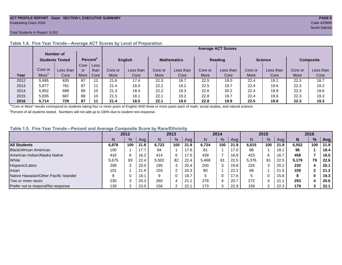#### **ACT PROFILE REPORT - State: SECTION I, EXECUTIVE SUMMARY PAGE 8** Graduating Class 2016 Code 429999

#### Total Students in Report: 6,552

# **Table 1.4. Five Year Trends—Average ACT Scores by Level of Preparation**

|      |         | Number of              |      |                      |         |                |         |                    |         |                |         |                |         |                  |
|------|---------|------------------------|------|----------------------|---------|----------------|---------|--------------------|---------|----------------|---------|----------------|---------|------------------|
|      |         | <b>Students Tested</b> |      | Percent <sup>2</sup> |         | <b>English</b> |         | <b>Mathematics</b> |         | <b>Reading</b> |         | <b>Science</b> |         | <b>Composite</b> |
|      |         |                        | Core | Less                 |         |                |         |                    |         |                |         |                |         |                  |
|      | Core or | Less than              | or   | than                 | Core or | Less than      | Core or | Less than          | Core or | Less than      | Core or | Less than      | Core or | Less than        |
| Year | More    | Core                   | More | Core                 | More    | Core           | More    | Core               | More    | Core           | More    | Core           | More    | Core             |
| 2012 | 5,995   | 835                    | 87   | $12 \overline{ }$    | 21.6    | 17.4           | 22.3    | 18.7               | 22.5    | 19.0           | 22.4    | 19.1           | 22.3    | 18.7             |
| 2013 | 5.877   | 761                    | 87   | 11                   | 21.4    | 18.0           | 22.2    | 19.2               | 22.5    | 19.7           | 22.4    | 19.6           | 22.3    | 19.2             |
| 2014 | 5,952   | 688                    | 89   | 10                   | 21.3    | 18.4           | 22.2    | 19.3               | 22.6    | 20.2           | 22.4    | 19.9           | 22.3    | 19.6             |
| 2015 | 5,835   | 687                    | 88   | 10                   | 21.5    | 18.1           | 22.7    | 19.2               | 22.8    | 19.7           | 22.4    | 19.6           | 22.3    | 19.3             |
| 2016 | 5,714   | 729                    | 87   | 11                   | 21.4    | 18.0           | 22.1    | 19.0               | 22.8    | 19.9           | 22.5    | 19.8           | 22.3    | 19.3             |

<sup>1</sup>"Core or More" results correspond to students taking four or more years of English AND three or more years each of math, social studies, and natural science.

 $2$ Percent of all students tested. Numbers will not add up to 100% due to student non-response.

## **Table 1.5. Five Year Trends—Percent and Average Composite Score by Race/Ethnicity**

|                                        |       | 2012<br>2014<br>2013<br>2015 |      | 2016  |     |      |       |     |      |       |     |      |       |               |      |
|----------------------------------------|-------|------------------------------|------|-------|-----|------|-------|-----|------|-------|-----|------|-------|---------------|------|
|                                        | N     | %                            | Ava  | N     | %   | Avg  | N     | %   | Avg  | N     | %   | Ava  | N     | $\frac{9}{6}$ | Avg  |
| <b>All Students</b>                    | 6,878 | 100                          | 21.8 | 6.723 | 100 | 21.9 | 6.724 | 100 | 21.9 | 6.615 | 100 | 21.9 | 6,552 | 100           | 21.9 |
| <b>Black/African American</b>          | 100   |                              | 17.7 | 84    |     | 17.6 | 81    |     | 17.0 | 88    |     | 18.1 | 96    |               | 18.4 |
| American Indian/Alaska Native          | 416   | 6                            | 16.2 | 414   |     | 17.0 | 439   |     | 16.9 | 423   | 6   | 16.7 | 458   |               | 16.5 |
| White                                  | 5,675 | 83                           | 22.4 | 5,502 | 82  | 22.4 | 5,468 | 81  | 22.5 | 5.376 | 81  | 22.5 | 5,179 | 79            | 22.6 |
| Hispanic/Latino                        | 208   | 3                            | 20.0 | 195   |     | 20.4 | 200   | -3  | 19.8 | 224   | 3   | 20.2 | 230   |               | 20.1 |
| Asian                                  | 101   |                              | 21.9 | 103   |     | 20.3 | 80    |     | 22.2 | 68    |     | 21.5 | 109   |               | 21.2 |
| Native Hawaiian/Other Pacific Islander | 9     | 0                            | 18.1 |       |     | 18.7 | 5     |     | 17.6 | 5     | 0   | 15.6 |       | ŋ             | 19.3 |
| Two or more races                      | 230   | 3                            | 20.3 | 260   |     | 21.7 | 278   | 4   | 20.7 | 272   |     | 21.1 | 293   |               | 20.6 |
| Prefer not to respond/No response      | 139   | ി                            | 23.0 | 156   |     | 22.1 | 173   |     | 22.9 | 159   | റ   | 22.3 | 179   |               | 22.1 |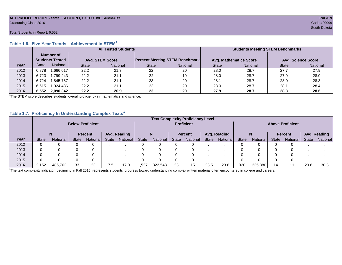#### **ACT PROFILE REPORT - State: SECTION I, EXECUTIVE SUMMARY PAGE 9** Graduating Class 2016 Code 429999

#### Total Students in Report: 6,552

# **Table 1.6. Five Year Trends—Achievement in STEM<sup>1</sup>**

|      |                        |             |                        | <b>All Tested Students</b> |              | <b>Students Meeting STEM Benchmarks</b> |              |                               |                           |          |  |
|------|------------------------|-------------|------------------------|----------------------------|--------------|-----------------------------------------|--------------|-------------------------------|---------------------------|----------|--|
|      |                        | Number of   |                        |                            |              |                                         |              |                               |                           |          |  |
|      | <b>Students Tested</b> |             | <b>Avg. STEM Score</b> |                            |              | <b>Percent Meeting STEM Benchmark</b>   |              | <b>Avg. Mathematics Score</b> | <b>Avg. Science Score</b> |          |  |
| Year | <b>State</b>           | National    | <b>State</b>           | <b>National</b>            | <b>State</b> | National                                | <b>State</b> | National                      | State                     | National |  |
| 2012 | 6.878                  | .666.017    | 22.2                   | 21.3                       | 22           | 20                                      | 28.0         | 28.7                          | 27.7                      | 27.9     |  |
| 2013 | 6.723                  | ا799.243. ا | 22.2                   | 21.1                       | 22           | 19                                      | 28.0         | 28.7                          | 27.9                      | 28.0     |  |
| 2014 | 6.724                  | 1,845,787   | 22.2                   | 21.1                       | 23           | 20                                      | 28.1         | 28.7                          | 28.0                      | 28.3     |  |
| 2015 | 6.615                  | 1,924,436   | 22.2                   | 21.1                       | 23           | 20                                      | 28.0         | 28.7                          | 28.1                      | 28.4     |  |
| 2016 | 6.552                  | 2,090,342   | 22.2                   | 20.9                       | 23           | 20                                      | 27.9         | 28.7                          | 28.3                      | 28.6     |  |

<sup>1</sup>The STEM score describes students' overall proficiency in mathematics and science.

# **Table 1.7. Proficiency In Understanding Complex Texts<sup>1</sup>**

|      | <b>Text Complexity Proficiency Level</b> |          |              |                         |       |                 |                   |          |              |                |              |                 |                         |          |              |                |              |              |
|------|------------------------------------------|----------|--------------|-------------------------|-------|-----------------|-------------------|----------|--------------|----------------|--------------|-----------------|-------------------------|----------|--------------|----------------|--------------|--------------|
|      |                                          |          |              | <b>Below Proficient</b> |       |                 | <b>Proficient</b> |          |              |                |              |                 | <b>Above Proficient</b> |          |              |                |              |              |
|      |                                          |          |              |                         |       |                 |                   |          |              |                |              |                 |                         |          |              |                |              |              |
|      |                                          |          |              | <b>Percent</b>          |       | Avg. Reading    |                   |          |              | <b>Percent</b> |              | Avg. Reading    |                         |          |              | <b>Percent</b> |              | Avg. Reading |
| Year | <b>State</b>                             | National | <b>State</b> | National                | State | <b>National</b> | <b>State</b>      | National | <b>State</b> | National       | <b>State</b> | <b>National</b> | <b>State</b>            | National | <b>State</b> | National       | <b>State</b> | National     |
| 2012 |                                          |          |              |                         |       |                 |                   |          |              | 0              |              |                 |                         |          |              | O              |              |              |
| 2013 |                                          |          |              |                         |       |                 |                   |          |              | 0              |              |                 |                         |          |              | 0              |              |              |
| 2014 |                                          |          |              |                         |       |                 |                   |          |              | 0              |              |                 |                         |          | 0            |                |              |              |
| 2015 |                                          |          |              |                         |       |                 |                   |          |              | 0              |              |                 |                         |          |              |                |              |              |
| 2016 | 2,152                                    | 485,762  | 33           | 23                      | 17.5  | 17.0            | .527              | 322,548  | 23           | 15             | 23.5         | 23.6            | 920                     | 235,380  | 14           |                | 29.6         | 30.3         |

<sup>1</sup>The text complexity indicator, beginning in Fall 2015, represents students' progress toward understanding complex written material often encountered in college and careers.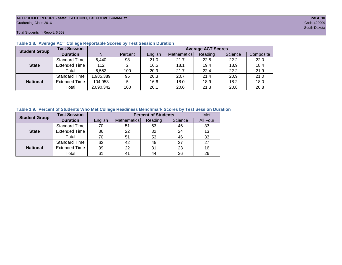#### **ACT PROFILE REPORT - State: SECTION I, EXECUTIVE SUMMARY PAGE 10** Graduating Class 2016 Code 429999

Total Students in Report: 6,552

| <b>Student Group</b> | <b>Test Session</b>  |           |         |         |             | <b>Average ACT Scores</b> |         |           |
|----------------------|----------------------|-----------|---------|---------|-------------|---------------------------|---------|-----------|
|                      | <b>Duration</b>      | Ν         | Percent | English | Mathematics | Reading                   | Science | Composite |
|                      | <b>Standard Time</b> | 6,440     | 98      | 21.0    | 21.7        | 22.5                      | 22.2    | 22.0      |
| <b>State</b>         | <b>Extended Time</b> | 112       | 2       | 16.5    | 18.1        | 19.4                      | 18.9    | 18.4      |
|                      | Total                | 6,552     | 100     | 20.9    | 21.7        | 22.4                      | 22.2    | 21.9      |
|                      | <b>Standard Time</b> | ,985,389  | 95      | 20.3    | 20.7        | 21.4                      | 20.9    | 21.0      |
| <b>National</b>      | <b>Extended Time</b> | 104,953   | 5       | 16.6    | 18.0        | 18.9                      | 18.2    | 18.0      |
|                      | Total                | 2,090,342 | 100     | 20.1    | 20.6        | 21.3                      | 20.8    | 20.8      |

# **Table 1.8. Average ACT College Reportable Scores by Test Session Duration**

# **Table 1.9. Percent of Students Who Met College Readiness Benchmark Scores by Test Session Duration**

| <b>Student Group</b> | <b>Test Session</b>  |         | Met         |         |         |          |
|----------------------|----------------------|---------|-------------|---------|---------|----------|
|                      | <b>Duration</b>      | English | Mathematics | Reading | Science | All Four |
|                      | <b>Standard Time</b> | 70      | 51          | 53      | 46      | 33       |
| <b>State</b>         | <b>Extended Time</b> | 36      | 22          | 32      | 24      | 13       |
|                      | Total                | 70      | 51          | 53      | 46      | 33       |
|                      | <b>Standard Time</b> | 63      | 42          | 45      | 37      | 27       |
| <b>National</b>      | <b>Extended Time</b> | 39      | 22          | 31      | 23      | 16       |
|                      | Total                | 61      | 41          | 44      | 36      | 26       |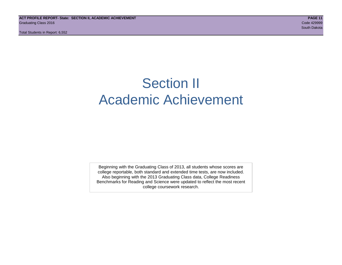# Section II Academic Achievement

Beginning with the Graduating Class of 2013, all students whose scores are college reportable, both standard and extended time tests, are now included. Also beginning with the 2013 Graduating Class data, College Readiness Benchmarks for Reading and Science were updated to reflect the most recent college coursework research.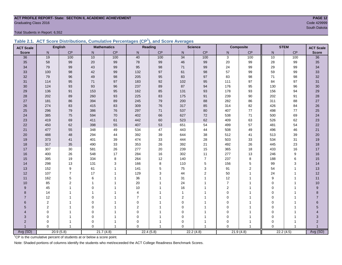# **ACT PROFILE REPORT- State: SECTION II, ACADEMIC ACHIEVEMENT PAGE 12** Graduating Class 2016 Code 429999

Total Students in Report: 6,552

|  | Table 2.1. ACT Score Distributions, Cumulative Percentages (CP <sup>1</sup> ), and Score Averages |  |  |  |
|--|---------------------------------------------------------------------------------------------------|--|--|--|
|  |                                                                                                   |  |  |  |

| <b>ACT Scale</b> |              | <b>English</b> |             | <b>Mathematics</b> |                | Reading   |           | <b>Science</b> | Composite<br><b>STEM</b> |           |             | <b>ACT Scale</b> |                |
|------------------|--------------|----------------|-------------|--------------------|----------------|-----------|-----------|----------------|--------------------------|-----------|-------------|------------------|----------------|
| <b>Score</b>     | $\mathsf{N}$ | $\mathsf{CP}$  | N           | CP                 | ${\sf N}$      | CP        | ${\sf N}$ | CP             | $\mathsf{N}$             | CP        | ${\sf N}$   | CP               | <b>Score</b>   |
| $\overline{36}$  | 19           | 100            | 10          | 100                | 40             | 100       | 34        | 100            | $\overline{3}$           | 100       | 10          | 100              | 36             |
| 35               | 58           | 99             | 20          | 99                 | 78             | 99        | 46        | 99             | 20                       | 99        | 28          | 99               | 35             |
| 34               | 79           | 99             | 43          | 99                 | 95             | 98        | 71        | 99             | 24                       | 99        | 29          | 99               | 34             |
| 33               | 100          | 98             | 42          | 99                 | 132            | 97        | 61        | 98             | 57                       | 99        | 59          | 99               | 33             |
| 32               | 79           | 96             | 49          | 98                 | 205            | 95        | 83        | 97             | 83                       | 98        | 71          | 98               | $32\,$         |
| 31               | 114          | 95             | 71          | 97                 | 183            | 92        | 102       | 95             | 111                      | 97        | 84          | 97               | 31             |
| 30               | 124          | 93             | 93          | 96                 | 237            | 89        | 87        | 94             | 176                      | 95        | 130         | 96               | $30\,$         |
| 29               | 136          | 91             | 153         | 95                 | 162            | 85        | 131       | 93             | 178                      | 93        | 156         | 94               | 29             |
| 28               | 202          | 89             | 260         | 93                 | 225            | 83        | 175       | 91             | 239                      | 90        | 202         | 91               | $28\,$         |
| 27               | 181          | 86             | 394         | 89                 | 245            | 79        | 200       | 88             | 282                      | 86        | 311         | 88               | 27             |
| 26               | 274          | 83             | 415         | 83                 | 309            | 76        | 317       | 85             | 314                      | 82        | 426         | 84               | $26\,$         |
| 25               | 296          | 79             | 386         | 76                 | 297            | 71        | 537       | 80             | 407                      | 77        | 498         | 77               | 25             |
| 24               | 385          | 75             | 594         | 70                 | 402            | 66        | 627       | 72             | 538                      | $71$      | 500         | 69               | 24             |
| 23               | 419          | 69             | 411         | 61                 | 442            | 60        | 523       | 62             | 409                      | 63        | 526         | 62               | $23\,$         |
| 22               | 450          | 62             | 398         | 55                 | 407            | 53        | 651       | 54             | 499                      | 57        | 481         | 54               | 22             |
| 21               | 477          | 55             | 348         | 49                 | 534            | 47        | 443       | 44             | 508                      | 49        | 496         | 46               | 21             |
| 20               | 488          | 48             | 294         | 44                 | 392            | 39        | 644       | 38             | 512                      | 41        | 513         | 39               | 20             |
| 19               | 373          | 41             | 401         | 39                 | 474            | 33        | 444       | 28             | 503                      | 33        | 534         | 31               | $19$           |
| 18               | 317          | 35             | 490         | 33                 | 353            | 26        | 392       | 21             | 492                      | 26        | 445         | 23               | 18             |
| 17               | 307          | 30             | 581         | 26                 | 277            | 20        | 239       | 15             | 365                      | 18        | 433         | 16               | $17$           |
| 16               | 400          | 26             | 548         | 17                 | 284            | 16        | 302       | 11             | 277                      | 13        | 246         | 9                | $16$           |
| 15               | 395          | 19             | 334         | 8                  | 264            | 12        | 140       | $\overline{7}$ | 237                      | 8         | 188         | 6                | 15             |
| 14               | 298          | 13             | 131         | 3                  | 166            | 8         | 110       | $\sqrt{5}$     | 156                      | 5         | 99          | 3                | 14             |
| 13               | 152          | 9              | 61          | 1                  | 141            | 5         | 75        | 3              | 91                       | 2         | 54          | 1                | 13             |
| 12               | 107          | $\overline{7}$ | 17          | 1                  | 129            | 3         | 44        | 2              | 50                       | 1         | 24          | 1                | 12             |
| 11               | 162          | 5              | 6           | 1                  | 36             | 1         | 31        | $\mathbf{1}$   | 12                       | 1         | 9           | 1                | 11             |
| 10               | 85           | 2              | 1           | 1                  | 20             | 1         | 24        | $\mathbf{1}$   | $\overline{7}$           |           | $\mathbf 0$ | 1                | 10             |
| 9                | 45           | $\mathbf{1}$   | $\mathbf 0$ | 1                  | 10             | 1         | 16        | $\overline{1}$ | 2                        |           | $\mathbf 0$ |                  | 9              |
| 8                | 14           | $\overline{1}$ | 1           | 1                  | $\overline{4}$ | 1         | 1         | $\overline{1}$ | 0                        |           | $\mathbf 0$ |                  | 8              |
| $\overline{7}$   | 12           | 1              | 0           | 1                  | $\overline{7}$ | 1         | 2         | $\overline{1}$ | 0                        |           | $\mathbf 0$ |                  | $\overline{7}$ |
| 6                | 2            | $\overline{1}$ | 0           | 1                  | $\mathbf 0$    | 1         | 0         | $\overline{1}$ | 0                        |           | $\mathbf 0$ |                  | 6              |
| 5                | 2            | $\overline{1}$ | 0           |                    | $\overline{2}$ | 1         | 0         | $\overline{1}$ | 0                        |           | $\mathbf 0$ |                  | 5              |
| 4                | $\Omega$     | -1             | 0           |                    | $\mathbf 0$    |           | $\Omega$  | -1             | 0                        |           | $\mathbf 0$ |                  |                |
| 3                | $\Omega$     | -1             | 0           | 1                  | $\mathbf 0$    | 1         | 0         | $\overline{1}$ | 0                        |           | $\mathbf 0$ | 1                | 3              |
| $\overline{2}$   | $\mathbf 0$  | $\overline{1}$ | 0           | -1                 | $\mathbf 0$    | 1         | 0         | $\overline{1}$ | 0                        | 1         | $\mathbf 0$ | 1                | $\overline{2}$ |
|                  | $\Omega$     | $\mathbf{1}$   | $\Omega$    | 1                  | $\Omega$       | 1         | $\Omega$  | $\overline{1}$ | $\Omega$                 |           | $\Omega$    | 1                | $\overline{1}$ |
| Avg (SD)         |              | 20.9(5.8)      |             | 21.7(4.8)          |                | 22.4(5.8) |           | 22.2(4.8)      |                          | 21.9(4.8) |             | 22.2(4.5)        | Avg (SD)       |

<sup>1</sup>CP is the cumulative percent of students at or below a score point.

Note: Shaded portions of columns identify the students who met/exceeded the ACT College Readiness Benchmark Scores.

South Dakota (1999) and the state of the state of the state of the state of the state of the South Dakota (199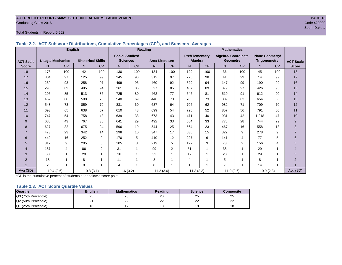#### **ACT PROFILE REPORT- State: SECTION II, ACADEMIC ACHIEVEMENT PAGE 13** Graduating Class 2016 Code 429999

South Dakota (1999) and the state of the state of the state of the state of the state of the South Dakota (199

#### Total Students in Report: 6,552

# **Table 2.2. ACT Subscore Distributions, Cumulative Percentages (CP<sup>1</sup> ), and Subscore Averages**

|                  |                         | <b>English</b> |                          |     |                        |     | Reading                |                |                       |                | <b>Mathematics</b>         |           |                        |     |                  |
|------------------|-------------------------|----------------|--------------------------|-----|------------------------|-----|------------------------|----------------|-----------------------|----------------|----------------------------|-----------|------------------------|-----|------------------|
|                  |                         |                |                          |     | <b>Social Studies/</b> |     |                        |                | <b>Pre/Elementary</b> |                | <b>Algebra/ Coordinate</b> |           | <b>Plane Geometry/</b> |     |                  |
| <b>ACT Scale</b> | <b>Usage/ Mechanics</b> |                | <b>Rhetorical Skills</b> |     | <b>Sciences</b>        |     | <b>Arts/Literature</b> |                | Algebra               |                | <b>Geometry</b>            |           | Trigonometry           |     | <b>ACT Scale</b> |
| <b>Score</b>     | N.                      | CP             | N                        | CP  | N                      | CP  | $\overline{N}$         | <b>CP</b>      | N                     | CP             | N                          | <b>CP</b> | N                      | CP  | <b>Score</b>     |
| 18               | 173                     | 100            | 42                       | 100 | 130                    | 100 | 184                    | 100            | 129                   | 100            | 36                         | 100       | 45                     | 100 | 18               |
| 17               | 304                     | 97             | 125                      | 99  | 345                    | 98  | 312                    | 97             | 275                   | 98             | 41                         | 99        | 14                     | 99  | 17               |
| 16               | 239                     | 93             | 258                      | 97  | 499                    | 93  | 460                    | 92             | 329                   | 94             | 147                        | 99        | 190                    | 99  | 16               |
| 15               | 295                     | 89             | 495                      | 94  | 361                    | 85  | 527                    | 85             | 487                   | 89             | 379                        | 97        | 426                    | 96  | 15               |
| 14               | 295                     | 85             | 513                      | 86  | 725                    | 80  | 462                    | 77             | 546                   | 81             | 519                        | 91        | 612                    | 90  | 14               |
| 13               | 452                     | 80             | 500                      | 78  | 540                    | 69  | 446                    | 70             | 705                   | 73             | 809                        | 83        | 654                    | 80  | 13               |
| 12               | 543                     | 73             | 859                      | 70  | 831                    | 60  | 637                    | 64             | 706                   | 62             | 982                        | 71        | 709                    | 70  | 12               |
| 11               | 693                     | 65             | 638                      | 57  | 610                    | 48  | 699                    | 54             | 726                   | 52             | 857                        | 56        | 791                    | 60  | 11               |
| 10               | 747                     | 54             | 758                      | 48  | 639                    | 38  | 673                    | 43             | 471                   | 40             | 931                        | 42        | 1,218                  | 47  | 10               |
| 9                | 685                     | 43             | 767                      | 36  | 641                    | 29  | 492                    | 33             | 654                   | 33             | 778                        | 28        | 744                    | 29  | 9                |
| 8                | 627                     | 32             | 675                      | 24  | 596                    | 19  | 544                    | 25             | 564                   | 23             | 467                        | 16        | 558                    | 18  | 8                |
| $\overline{7}$   | 473                     | 23             | 342                      | 14  | 298                    | 10  | 347                    | 17             | 538                   | 15             | 322                        | 9         | 278                    | 9   | $\overline{7}$   |
| 6                | 442                     | 16             | 252                      | 9   | 170                    | 5   | 410                    | 12             | 227                   | 6              | 141                        | 4         | 77                     | 5   | $6\phantom{1}6$  |
| 5                | 317                     | 9              | 205                      | 5   | 105                    | 3   | 219                    | 5              | 127                   | 3              | 73                         | 2         | 156                    | 4   | 5                |
| 4                | 187                     | 4              | 86                       | 2   | 31                     |     | 99                     | $\overline{2}$ | 51                    | $\overline{ }$ | 38                         | 1         | 29                     |     | $\overline{4}$   |
| 3                | 60                      |                | 29                       |     | 16                     |     | 33                     |                | 12                    |                | 20                         |           | 29                     |     | 3                |
| $\overline{2}$   | 18                      |                | 8                        |     | 11                     |     | 8                      |                | 4                     |                | 5                          |           | 8                      |     | $\overline{2}$   |
|                  | $\overline{2}$          |                | $\Omega$                 |     | 4                      |     | $\Omega$               |                | и                     |                | 7                          |           | 14                     |     |                  |
| Avg (SD)         | 10.4(3.6)               |                | 10.8(3.1)                |     | 11.6(3.2)              |     | 11.2(3.6)              |                | 11.3(3.3)             |                | 11.0(2.6)                  |           | 10.9(2.8)              |     | Avg (SD)         |

<sup>1</sup>CP is the cumulative percent of students at or below a score point.

#### **Table 2.3. ACT Score Quartile Values**

| Quartile             | Enalish  | <b>Mathematics</b> | Reading   | <b>Science</b> | Composite   |
|----------------------|----------|--------------------|-----------|----------------|-------------|
| Q3 (75th Percentile) | 25       | ОE<br>∠ວ           | 26        | 25             | 25          |
| Q2 (50th Percentile) | ົ<br>ا ک | nn<br>--           | n r<br>-- | $\sim$<br>--   | $\sim$<br>∼ |
| Q1 (25th Percentile) |          |                    |           | 1 O            |             |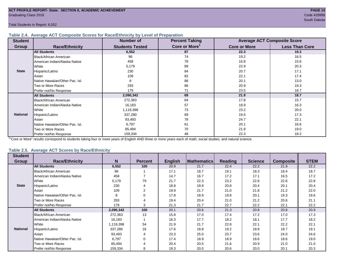# **Table 2.4. Average ACT Composite Scores for Race/Ethnicity by Level of Preparation**

| <b>Student</b>  |                                 | <b>Number of</b>       | <b>Percent Taking</b>     |                     | <b>Average ACT Composite Score</b> |
|-----------------|---------------------------------|------------------------|---------------------------|---------------------|------------------------------------|
| <b>Group</b>    | <b>Race/Ethnicity</b>           | <b>Students Tested</b> | Core or More <sup>1</sup> | <b>Core or More</b> | <b>Less Than Core</b>              |
|                 | <b>All Students</b>             | 6,552                  | 87                        | 22.3                | 19.3                               |
|                 | Black/African American          | 96                     | 74                        | 19.2                | 16.5                               |
|                 | American Indian/Alaska Native   | 458                    | 78                        | 16.8                | 15.6                               |
|                 | White                           | 5,179                  | 89                        | 22.9                | 20.3                               |
| <b>State</b>    | Hispanic/Latino                 | 230                    | 84                        | 20.7                | 17.1                               |
|                 | Asian                           | 109                    | 82                        | 22.1                | 17.4                               |
|                 | Native Hawaiian/Other Pac. Isl. | 8                      | 88                        | 20.1                | 13.0                               |
|                 | Two or More Races               | 293                    | 86                        | 20.9                | 19.3                               |
|                 | Prefer not/No Response          | 179                    | 71                        | 23.5                | 18.7                               |
|                 | <b>All Students</b>             | 2,090,342              | 69                        | 21.9                | 18.7                               |
|                 | <b>Black/African American</b>   | 272,363                | 64                        | 17.8                | 15.7                               |
|                 | American Indian/Alaska Native   | 16,183                 | 57                        | 18.9                | 16.3                               |
|                 | White                           | 1,119,398              | 73                        | 23.2                | 20.0                               |
| <b>National</b> | Hispanic/Latino                 | 337,280                | 69                        | 19.5                | 17.3                               |
|                 | Asian                           | 93,493                 | 78                        | 24.7                | 22.1                               |
|                 | Native Hawaiian/Other Pac. Isl. | 6,797                  | 61                        | 20.1                | 16.6                               |
|                 | Two or More Races               | 85,494                 | 70                        | 21.9                | 19.0                               |
|                 | Prefer not/No Response          | 159,334                | 48                        | 22.3                | 18.2                               |

<sup>1</sup>"Core or More" results correspond to students taking four or more years of English AND three or more years each of math, social studies, and natural science.

## **Table 2.5. Average ACT Scores by Race/Ethnicity**

| <b>Student</b>  |                                 |           |                |                |                    |                |                |                  |             |
|-----------------|---------------------------------|-----------|----------------|----------------|--------------------|----------------|----------------|------------------|-------------|
| <b>Group</b>    | <b>Race/Ethnicity</b>           | N         | <b>Percent</b> | <b>English</b> | <b>Mathematics</b> | <b>Reading</b> | <b>Science</b> | <b>Composite</b> | <b>STEM</b> |
|                 | <b>All Students</b>             | 6,552     | 100            | 20.9           | 21.7               | 22.4           | 22.2           | 21.9             | 22.2        |
|                 | Black/African American          | 96        |                | 17.1           | 18.7               | 19.1           | 18.3           | 18.4             | 18.7        |
|                 | American Indian/Alaska Native   | 458       |                | 14.7           | 16.7               | 17.2           | 17.1           | 16.5             | 17.2        |
|                 | White                           | 5,179     | 79             | 21.7           | 22.3               | 23.2           | 22.8           | 22.6             | 22.8        |
| <b>State</b>    | Hispanic/Latino                 | 230       | 4              | 18.8           | 19.9               | 20.8           | 20.4           | 20.1             | 20.4        |
|                 | Asian                           | 109       | 2              | 19.9           | 21.7               | 21.0           | 21.8           | 21.2             | 22.0        |
|                 | Native Hawaiian/Other Pac. Isl. | 8         | 0              | 17.8           | 18.9               | 19.8           | 20.1           | 19.3             | 19.6        |
|                 | Two or More Races               | 293       |                | 19.4           | 20.4               | 21.0           | 21.2           | 20.6             | 21.1        |
|                 | Prefer not/No Response          | 179       | 3              | 21.3           | 21.7               | 22.7           | 22.2           | 22.1             | 22.2        |
|                 | <b>All Students</b>             | 2,090,342 | 100            | 20.1           | 20.6               | 21.3           | 20.8           | 20.8             | 20.9        |
|                 | Black/African American          | 272,363   | 13             | 15.8           | 17.0               | 17.4           | 17.2           | 17.0             | 17.3        |
|                 | American Indian/Alaska Native   | 16,183    |                | 16.3           | 17.7               | 18.2           | 18.1           | 17.7             | 18.2        |
|                 | White                           | 1,119,398 | 54             | 21.9           | 21.7               | 22.8           | 22.1           | 22.2             | 22.1        |
| <b>National</b> | Hispanic/Latino                 | 337,280   | 16             | 17.6           | 18.8               | 19.2           | 18.9           | 18.7             | 19.1        |
|                 | Asian                           | 93,493    | 4              | 23.3           | 25.0               | 23.7           | 23.6           | 24.0             | 24.6        |
|                 | Native Hawaiian/Other Pac. Isl. | 6,797     | 0              | 17.4           | 18.9               | 18.9           | 18.6           | 18.6             | 19.0        |
|                 | Two or More Races               | 85,494    |                | 20.4           | 20.5               | 21.6           | 20.9           | 21.0             | 21.0        |
|                 | Prefer not/No Response          | 159,334   | 8              | 19.3           | 20.0               | 20.6           | 20.0           | 20.1             | 20.3        |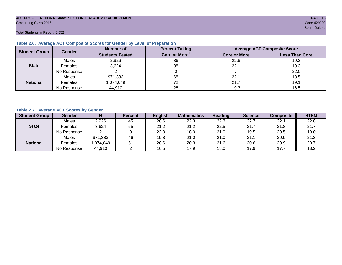### **ACT PROFILE REPORT- State: SECTION II, ACADEMIC ACHIEVEMENT PAGE 15** Code 429999 Code 429999 Code 429999 Code 429999 Code 429999 Code 429999 Code 429999 Code 429999 Code 429999 Code 429999 Code 429999 Code 429999 Code 429999 Code 429999 Code 429999 Code 429999 Code 429999 Code 429999 Code 4

South Dakota (1999) and the state of the state of the state of the state of the state of the South Dakota (199

Total Students in Report: 6,552

# **Table 2.6. Average ACT Composite Scores for Gender by Level of Preparation**

| <b>Student Group</b> | <b>Gender</b>    | <b>Number of</b>       | <b>Percent Taking</b>     | <b>Average ACT Composite Score</b> |                       |  |  |
|----------------------|------------------|------------------------|---------------------------|------------------------------------|-----------------------|--|--|
|                      |                  | <b>Students Tested</b> | Core or More <sup>1</sup> | <b>Core or More</b>                | <b>Less Than Core</b> |  |  |
|                      | Males            | 2,926                  | 86                        | 22.6                               | 19.3                  |  |  |
| <b>State</b>         | 3,624<br>Females |                        | 88                        | 22.1                               | 19.3                  |  |  |
|                      | No Response      |                        |                           |                                    | 22.0                  |  |  |
|                      | Males            | 971,383                | 68                        | 22.1                               | 18.5                  |  |  |
| <b>National</b>      | Females          | 1,074,049              | 72                        | 21.7                               | 19.1                  |  |  |
|                      | No Response      | 44,910                 | 28                        | 19.3                               | 16.5                  |  |  |

# **Table 2.7. Average ACT Scores by Gender**

| <b>Student Group</b> | Gender       | r       | <b>Percent</b> | <b>English</b> | <b>Mathematics</b> | Reading | <b>Science</b> | <b>Composite</b> | <b>STEM</b> |
|----------------------|--------------|---------|----------------|----------------|--------------------|---------|----------------|------------------|-------------|
|                      | Males        | 2,926   | 45             | 20.6           | 22.3               | 22.3    | 22.7           | 22.1             | 22.8        |
| <b>State</b>         | Females      | 3,624   | 55             | 21.2           | 21.2               | 22.5    | 21.7           | 21.8             | 21.7        |
|                      | No Response  |         |                | 22.0           | 18.0               | 21.0    | 19.5           | 20.5             | 19.0        |
|                      | <b>Males</b> | 971,383 | 46             | 19.8           | 21.0               | 21.0    | 21.1           | 20.9             | 21.3        |
| <b>National</b>      | Females      | 074,049 | 51             | 20.6           | 20.3               | 21.6    | 20.6           | 20.9             | 20.7        |
|                      | No Response  | 44,910  |                | 16.5           | 17.9               | 18.0    | 17.9           | 17.7             | 18.2        |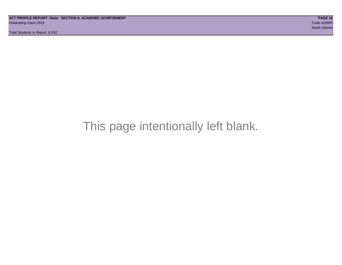**ACT PROFILE REPORT- State: SECTION II, ACADEMIC ACHIEVEMENT PAGE 16** Graduating Class 2016 Code 429999

Total Students in Report: 6,552

# This page intentionally left blank.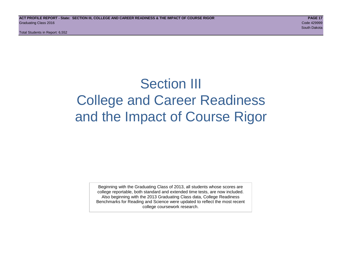# Section III College and Career Readiness and the Impact of Course Rigor

Beginning with the Graduating Class of 2013, all students whose scores are college reportable, both standard and extended time tests, are now included. Also beginning with the 2013 Graduating Class data, College Readiness Benchmarks for Reading and Science were updated to reflect the most recent college coursework research.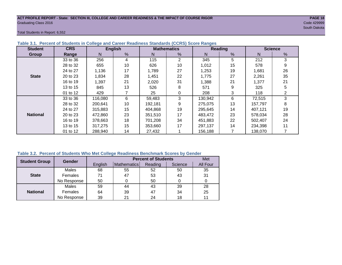### ACT PROFILE REPORT - State: SECTION III, COLLEGE AND CAREER READINESS & THE IMPACT OF COURSE RIGOR **PAGE 18** Graduating Class 2016 Code 429999

South Dakota

Total Students in Report: 6,552

| <b>Student</b>  | <b>CRS</b> |         | <b>English</b> |         | <b>Mathematics</b> |         | Reading | <b>Science</b> |    |  |
|-----------------|------------|---------|----------------|---------|--------------------|---------|---------|----------------|----|--|
| Group           | Range      | N.      | %              | N.      | %                  | N.      | %       | N              | %  |  |
|                 | 33 to 36   | 256     | 4              | 115     | $\overline{2}$     | 345     | 5       | 212            | 3  |  |
|                 | 28 to 32   | 655     | 10             | 626     | 10                 | 1,012   | 15      | 578            | 9  |  |
|                 | 24 to 27   | 1,136   | 17             | 1,789   | 27                 | 1,253   | 19      | 1,681          | 26 |  |
| <b>State</b>    | 20 to 23   | 1,834   | 28             | 1,451   | 22                 | 1.775   | 27      | 2,261          | 35 |  |
|                 | 16 to 19   | 1,397   | 21             | 2,020   | 31                 | 1,388   | 21      | 1,377          | 21 |  |
|                 | 13 to 15   | 845     | 13             | 526     | 8                  | 571     | 9       | 325            | 5  |  |
|                 | 01 to 12   | 429     |                | 25      | 0                  | 208     | 3       | 118            |    |  |
|                 | 33 to 36   | 116,080 | 6              | 59,483  | 3                  | 130,942 | 6       | 72,515         | 3  |  |
|                 | 28 to 32   | 200,641 | 10             | 192,181 | 9                  | 275,075 | 13      | 157,797        | 8  |  |
|                 | 24 to 27   | 315,883 | 15             | 404.868 | 19                 | 295.645 | 14      | 407,121        | 19 |  |
| <b>National</b> | 20 to 23   | 472,860 | 23             | 351.510 | 17                 | 483,472 | 23      | 578,034        | 28 |  |
|                 | 16 to 19   | 378,663 | 18             | 701,208 | 34                 | 451,883 | 22      | 502.407        | 24 |  |
|                 | 13 to 15   | 317,275 | 15             | 353,660 | 17                 | 297,137 | 14      | 234,398        | 11 |  |
|                 | 01 to 12   | 288,940 | 14             | 27,432  |                    | 156,188 |         | 138,070        |    |  |

**Table 3.1. Percent of Students in College and Career Readiness Standards (CCRS) Score Ranges**

## **Table 3.2. Percent of Students Who Met College Readiness Benchmark Scores by Gender**

| <b>Student Group</b> | Gender      |         |             | <b>Percent of Students</b> |         | Met      |
|----------------------|-------------|---------|-------------|----------------------------|---------|----------|
|                      |             | English | Mathematics | Reading                    | Science | All Four |
|                      | Males       | 68      | 55          | 52                         | 50      | 35       |
| <b>State</b>         | Females     | 71      | 47          | 53                         | 43      | 31       |
|                      | No Response | 50      |             | 50                         |         | 0        |
|                      | Males       | 59      | 44          | 43                         | 39      | 28       |
| <b>National</b>      | Females     | 64      | 39          | 47                         | 34      | 25       |
|                      | No Response | 39      | 21          | 24                         | 18      | 11       |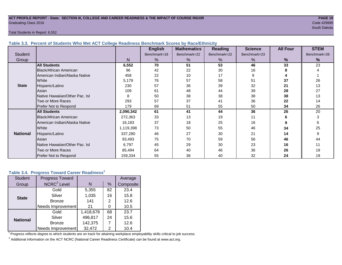### **ACT PROFILE REPORT - State: SECTION III, COLLEGE AND CAREER READINESS & THE IMPACT OF COURSE RIGOR PAGE 19** Graduating Class 2016 Code 429999

#### Total Students in Report: 6,552

**Table 3.3. Percent of Students Who Met ACT College Readiness Benchmark Scores by Race/Ethnicity**

|                 |                                |           | <b>English</b> | <b>Mathematics</b> | <b>Reading</b> | <b>Science</b> | <b>All Four</b> | <b>STEM</b>  |
|-----------------|--------------------------------|-----------|----------------|--------------------|----------------|----------------|-----------------|--------------|
| Student         |                                |           | Benchmark=18   | Benchmark=22       | Benchmark=22   | Benchmark=23   |                 | Benchmark=26 |
| Group           |                                | N.        | %              | %                  | %              | %              | %               | %            |
|                 | <b>All Students</b>            | 6,552     | 70             | 51                 | 53             | 46             | 33              | 23           |
|                 | Black/African American         | 96        | 42             | 22                 | 30             | 16             |                 |              |
|                 | American Indian/Alaska Native  | 458       | 22             | 10                 | 17             | 9              |                 |              |
|                 | White                          | 5,179     | 76             | 57                 | 58             | 51             | 37              | 26           |
| <b>State</b>    | Hispanic/Latino                | 230       | 57             | 36                 | 39             | 32             | 21              | 13           |
|                 | Asian                          | 109       | 61             | 48                 | 44             | 39             | 28              | 27           |
|                 | Native Hawaiian/Other Pac. Isl | 8         | 50             | 38                 | 38             | 38             | 38              | 13           |
|                 | Two or More Races              | 293       | 57             | 37                 | 41             | 36             | 22              | 14           |
|                 | Prefer Not to Respond          | 179       | 69             | 51                 | 55             | 50             | 34              | 26           |
|                 | <b>All Students</b>            | 2,090,342 | 61             | 41                 | 44             | 36             | 26              | 20           |
|                 | <b>Black/African American</b>  | 272,363   | 33             | 13                 | 19             | 11             |                 |              |
|                 | American Indian/Alaska Native  | 16,183    | 37             | 18                 | 25             | 16             |                 | ิค           |
|                 | White                          | 1,119,398 | 73             | 50                 | 55             | 46             | 34              | 25           |
| <b>National</b> | Hispanic/Latino                | 337,280   | 46             | 27                 | 30             | 21             | 14              | 9            |
|                 | Asian                          | 93,493    | 75             | 70                 | 59             | 56             | 46              | 44           |
|                 | Native Hawaiian/Other Pac. Isl | 6,797     | 45             | 29                 | 30             | 23             | 16              | 11           |
|                 | Two or More Races              | 85,494    | 64             | 40                 | 46             | 36             | 26              | 19           |
|                 | Prefer Not to Respond          | 159,334   | 55             | 36                 | 40             | 32             | 24              | 19           |

# **Table 3.4. Progress Toward Career Readiness<sup>1</sup>**

| <b>Student</b>  | <b>Progress Toward</b>  |           |      | Average   |
|-----------------|-------------------------|-----------|------|-----------|
| Group           | NCRC <sup>2</sup> Level | N         | $\%$ | Composite |
|                 | Gold                    | 5,355     | 82   | 23.4      |
| <b>State</b>    | Silver                  | 1,035     | 16   | 15.8      |
|                 | <b>Bronze</b>           | 141       | 2    | 12.6      |
|                 | Needs Improvement       | 21        | 0    | 10.5      |
|                 | Gold                    | 1,418,678 | 68   | 23.7      |
| <b>National</b> | Silver                  | 496,817   | 24   | 15.6      |
|                 | <b>Bronze</b>           | 142,375   | 7    | 12.6      |
|                 | Needs Improvement       | 32,472    | 2    | 10.4      |

<sup>1</sup> Progress reflects degree to which students are on track for attaining workplace employability skills critical to job success.

<sup>2</sup> Additional information on the ACT NCRC (National Career Readiness Certificate) can be found at www.act.org.

South Dakota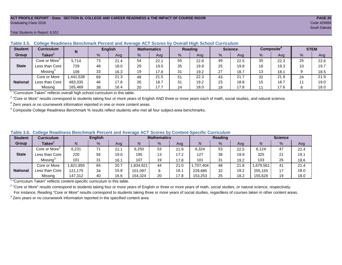#### **ACT PROFILE REPORT - State: SECTION III, COLLEGE AND CAREER READINESS & THE IMPACT OF COURSE RIGOR PAGE 20** Graduating Class 2016 Code 429999

Total Students in Report: 6,552

| <b>Student</b>  | . .<br><b>Curriculum</b>  |          |    | <b>English</b> |    | <b>Mathematics</b> |    | Reading |            | <b>Science</b> |    | Composite <sup>4</sup> |    | <b>STEM</b> |
|-----------------|---------------------------|----------|----|----------------|----|--------------------|----|---------|------------|----------------|----|------------------------|----|-------------|
| Group           | <b>Taken</b>              | N        | %  | Avg            | %  | Avg                | %  | Avg     | %          | Avg            | %  | Avg                    | %  | Avg         |
|                 | Core or More <sup>2</sup> | 5.714    | 73 | 21.4           | 54 | 22.7               | 55 | 22.8    | 49         | 22.5           | 35 | 22.3                   | 25 | 22.6        |
| <b>State</b>    | Less than Core            | 729      | 48 | 18.0           | 29 | 19.0               | 35 | 19.9    | 25         | 19.8           | 16 | 19.3                   | 10 | 19.7        |
|                 | Missing                   | 109      | 33 | 16.3           | 19 | 17.8               | 31 | 19.2    | 27<br>ا ہے | 18.7           | 13 | 18.7                   |    | 18.5        |
|                 | Core or More              | ,441,538 | 69 | 21.3           | 48 | 21.5               | 51 | 22.3    | 43         | 21.7           | 32 | 21.9                   | 24 | 21.9        |
| <b>National</b> | Less than Core            | 483,335  | 46 | 17.8           | 26 | 18.7               | 31 | 19.2    | 23         | 18.8           | 15 | 18.7                   |    | 19.0        |
|                 | Missing                   | 165,469  | 38 | 16.4           | 20 | 17.7               | 24 | 18.0    | 18         | 17.8           |    | 17.6                   |    | 18.0        |

## **Table 3.5. College Readiness Benchmark Percent and Average ACT Scores by Overall High School Curriculum**

<sup>1</sup> "Curriculum Taken" reflects overall high school curriculum in this table.

<sup>2</sup> "Core or More" results correspond to students taking four or more years of English AND three or more years each of math, social studies, and natural science.

 $3$  Zero years or no coursework information reported in one or more content areas.

<sup>4</sup> Composite College Readiness Benchmark % results reflect students who met all four subject-area benchmarks.

## **Table 3.6. College Readiness Benchmark Percent and Average ACT Scores by Content-Specific Curriculum**

| <b>Student</b>  | <b>Curriculum</b>         |         | <b>English</b> |      |          | <b>Mathematics</b> |      |          | <b>Reading</b> |      | <b>Science</b> |    |      |
|-----------------|---------------------------|---------|----------------|------|----------|--------------------|------|----------|----------------|------|----------------|----|------|
| <b>Group</b>    | $\mathsf{Taken}^1$        | N       | %              | Avg  | N        | $\frac{9}{6}$      | Avg  | N        | %              | Avg  | N              | %  | Avg  |
|                 | Core or More <sup>2</sup> | 6,231   | 71             | 21.1 | 6.250    | 53                 | 21.9 | 6,324    | 53             | 22.5 | 6.124          | 47 | 22.4 |
| <b>State</b>    | Less than Core            | 220     | 56             | 19.0 | 195      | 13                 | 17.2 | 127      | 38             | 19.9 | 325            | 21 | 19.1 |
|                 | Missing <sup>3</sup>      | 101     | 31             | 16.1 | 107      | 19                 | 17.8 | 101      | 31             | 19.2 | 103            | 26 | 18.6 |
|                 | Core or More              | 821,855 | 65             | 20.7 | .834.921 | 44                 | 21.0 | .707.404 | 48             | 21.8 | 1.679.561      | 41 | 21.4 |
| <b>National</b> | Less than Core            | 121.175 | 34             | 15.8 | 101.097  |                    | 16.1 | 229,685  | 32             | 19.2 | 255,155        | 17 | 18.0 |
|                 | Missing                   | 147,312 | 40             | 16.6 | 154,324  | 20                 | 17.8 | 153,253  | 25             | 18.2 | 155,626        | 19 | 18.0 |

<sup>1</sup>"Curriculum Taken" reflects content-specific curriculum in this table.

<sup>2</sup> "Core or More" results correspond to students taking four or more years of English or three or more years of math, social studies, or natural science, respectively. For instance, Reading "Core or More" results correspond to students taking three or more years of social studies, regardless of courses taken in other content areas.

 $3$  Zero years or no coursework information reported in the specified content area.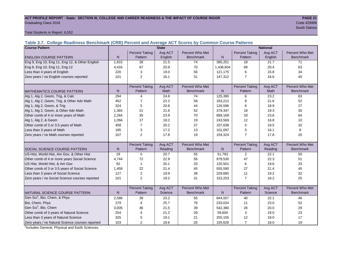#### **ACT PROFILE REPORT - State: SECTION III, COLLEGE AND CAREER READINESS & THE IMPACT OF COURSE RIGOR PAGE 21** Graduating Class 2016 Code 429999

South Dakota (1999) and the state of the state of the state of the state of the state of the South Dakota (199

Total Students in Report: 6,552

# **Table 3.7. College Readiness Benchmark (CRB) Percent and Average ACT Scores by Common Course Patterns**

| <b>Course Pattern</b>                            |                |                                  | <b>State</b>       |                  | <b>National</b> |                                  |                    |                                     |  |
|--------------------------------------------------|----------------|----------------------------------|--------------------|------------------|-----------------|----------------------------------|--------------------|-------------------------------------|--|
|                                                  |                | <b>Percent Taking</b>            | Avg ACT            | Percent Who Met  |                 | <b>Percent Taking</b>            | Avg ACT            | Percent Who Met                     |  |
| <b>ENGLISH COURSE PATTERN</b>                    | $\overline{N}$ | Pattern                          | English            | <b>Benchmark</b> | $\mathsf{N}$    | Pattern                          | English            | <b>Benchmark</b>                    |  |
| Eng 9, Eng 10, Eng 11, Eng 12, & Other English   | 1,815          | 28                               | 21.5               | 74               | 385,251         | 18                               | 21.7               | 71                                  |  |
| Eng 9, Eng 10, Eng 11, Eng 12                    | 4,416          | 67                               | 20.9               | 70               | 1,436,604       | 69                               | 20.4               | 63                                  |  |
| Less than 4 years of English                     | 220            | 3                                | 19.0               | 56               | 121,175         | 6                                | 15.8               | 34                                  |  |
| Zero years / no English courses reported         | 101            | 2                                | 16.1               | 31               | 147,312         | $\overline{7}$                   | 16.6               | 40                                  |  |
|                                                  |                |                                  |                    |                  |                 |                                  |                    |                                     |  |
|                                                  |                | <b>Percent Taking</b>            | Avg ACT            | Percent Who Met  |                 | <b>Percent Taking</b>            | Avg ACT            | Percent Who Met                     |  |
| <b>MATHEMATICS COURSE PATTERN</b>                | $\mathsf{N}$   | Pattern                          | Math               | <b>Benchmark</b> | $\mathsf{N}$    | Pattern                          | Math               | <b>Benchmark</b>                    |  |
| Alg 1, Alg 2, Geom, Trig, & Calc                 | 294            | 4                                | 24.8               | 74               | 125,390         | 6                                | 23.2               | 63                                  |  |
| Alg 1, Alg 2, Geom, Trig, & Other Adv Math       | 452            | 7                                | 22.2               | 58               | 163,212         | 8                                | 21.6               | 52                                  |  |
| Alg 1, Alg 2, Geom, & Trig                       | 324            | 5                                | 20.8               | 44               | 126,596         | 6                                | 18.9               | 27                                  |  |
| Alg 1, Alg 2, Geom, & Other Adv Math             | 1,364          | 21                               | 21.6               | 52               | 379,347         | 18                               | 19.3               | 30                                  |  |
| Other comb of 4 or more years of Math            | 2.264          | 35                               | 23.9               | 70               | 689,169         | 33                               | 23.6               | 64                                  |  |
| Alg 1, Alg 2, & Geom                             | 1,094          | 17                               | 18.2               | 19               | 243,569         | 12                               | 16.8               | 10                                  |  |
| Other comb of 3 or 3.5 years of Math             | 458            | $\overline{7}$                   | 20.2               | 37               | 107,638         | 5                                | 19.5               | 32                                  |  |
| Less than 3 years of Math                        | 195            | 3                                | 17.2               | 13               | 101,097         | 5                                | 16.1               | 8                                   |  |
| Zero years / no Math courses reported            | 107            | 2                                | 17.8               | 19               | 154,324         | $\overline{7}$                   | 17.8               | 20                                  |  |
|                                                  |                |                                  |                    |                  |                 |                                  |                    |                                     |  |
|                                                  |                | <b>Percent Taking</b>            | Avg ACT            | Percent Who Met  |                 | <b>Percent Taking</b>            | Avg ACT            | Percent Who Met                     |  |
| <b>SOCIAL SCIENCE COURSE PATTERN</b>             | $\overline{N}$ | Pattern                          | Reading            | <b>Benchmark</b> | N               | Pattern                          | Reading            | <b>Benchmark</b>                    |  |
| US Hist, World Hist, Am Gov, & Other Hist        | 29             | 0                                | 20.7               | 55               | 51,783          | $\overline{2}$                   | 22.1               | 50                                  |  |
| Other comb of 4 or more years Social Science     | 4,744          | 72                               | 22.9               | 56               | 979,530         | 47                               | 22.3               | 51                                  |  |
| US Hist, World Hist, & Am Gov                    | 92             | $\mathbf{1}$                     | 20.1               | 33               | 120,501         | 6                                | 19.6               | 33                                  |  |
| Other comb of 3 or 3.5 years of Social Science   | 1,459          | 22                               | 21.4               | 45               | 555,590         | 27                               | 21.4               | 45                                  |  |
| Less than 3 years of Social Science              | 127            | 2                                | 19.9               | 38               | 229,685         | 11                               | 19.2               | 32                                  |  |
| Zero years / no Social Science courses reported  | 101            | 2                                | 19.2               | 31               | 153,253         | $\overline{7}$                   | 18.2               | 25                                  |  |
|                                                  |                |                                  |                    | Percent Who Met  |                 |                                  |                    |                                     |  |
| NATURAL SCIENCE COURSE PATTERN                   | $\overline{N}$ | <b>Percent Taking</b><br>Pattern | Avg ACT<br>Science | <b>Benchmark</b> | N               | <b>Percent Taking</b><br>Pattern | Avg ACT<br>Science | Percent Who Met<br><b>Benchmark</b> |  |
| Gen Sci <sup>1</sup> , Bio, Chem, & Phys         |                |                                  |                    |                  |                 |                                  |                    |                                     |  |
| Bio, Chem, Phys                                  | 2,586<br>279   | 39                               | 23.2<br>25.7       | 55<br>76         | 844,557         | 40                               | 22.1<br>23.0       | 46                                  |  |
| Gen Sci <sup>1</sup> , Bio, Chem                 |                | $\overline{4}$                   |                    |                  | 233,024         | 11                               |                    | 52                                  |  |
|                                                  | 3,005          | 46                               | 21.5               | 39               | 542,380         | 26                               | 20.0               | 29                                  |  |
| Other comb of 3 years of Natural Science         | 254            | 4                                | 21.2               | 39               | 59,600          | 3                                | 19.0               | 23                                  |  |
| Less than 3 years of Natural Science             | 325            | 5                                | 19.1               | 21               | 255,155         | 12                               | 18.0               | 17                                  |  |
| Zero years / no Natural Science courses reported | 103            | 2                                | 18.6               | 26               | 155,626         | $\overline{7}$                   | 18.0               | 19                                  |  |

<sup>1</sup>Includes General, Physical and Earth Sciences.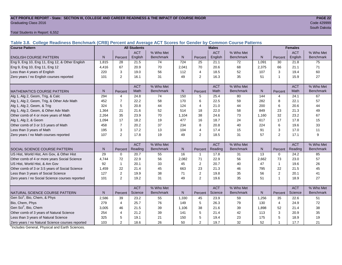### **ACT PROFILE REPORT - State: SECTION III, COLLEGE AND CAREER READINESS & THE IMPACT OF COURSE RIGOR PAGE 22** Graduating Class 2016 Code 429999

Total Students in Report: 6,552

**Table 3.8. College Readiness Benchmark (CRB) Percent and Average ACT Scores for Gender by Common Course Patterns**

| <b>Course Pattern</b>                            |       |                | <b>All Students</b> |                  |              |                | <b>Males</b> |                  | <b>Females</b> |                |            |                  |
|--------------------------------------------------|-------|----------------|---------------------|------------------|--------------|----------------|--------------|------------------|----------------|----------------|------------|------------------|
|                                                  |       |                | <b>ACT</b>          | % Who Met        |              |                | <b>ACT</b>   | % Who Met        |                |                | <b>ACT</b> | % Who Met        |
| <b>ENGLISH COURSE PATTERN</b>                    | N     | Percent        | English             | <b>Benchmark</b> | $\mathsf{N}$ | Percent        | English      | <b>Benchmark</b> | N              | Percent        | English    | <b>Benchmark</b> |
| Eng 9, Eng 10, Eng 11, Eng 12, & Other English   | 1,815 | 28             | 21.5                | 74               | 724          | 25             | 21.1         | 72               | 1,091          | 30             | 21.8       | 75               |
| Eng 9, Eng 10, Eng 11, Eng 12                    | 4,416 | 67             | 20.9                | 70               | 2,041        | 70             | 20.6         | 68               | 2,375          | 66             | 21.1       | 71               |
| Less than 4 years of English                     | 220   | 3              | 19.0                | 56               | 112          | $\overline{4}$ | 18.5         | 52               | 107            | 3              | 19.4       | 60               |
| Zero years / no English courses reported         | 101   | $\overline{2}$ | 16.1                | 31               | 49           | 2              | 16.3         | 35               | 51             | $\overline{1}$ | 15.9       | 27               |
|                                                  |       |                | <b>ACT</b>          | % Who Met        |              |                | <b>ACT</b>   | % Who Met        |                |                | <b>ACT</b> | % Who Met        |
| <b>MATHEMATICS COURSE PATTERN</b>                | N     | Percent        | Math                | <b>Benchmark</b> | $\mathsf{N}$ | Percent        | Math         | <b>Benchmark</b> | N              | Percent        | Math       | <b>Benchmark</b> |
| Alg 1, Alg 2, Geom, Trig, & Calc                 | 294   | 4              | 24.8                | 74               | 150          | 5              | 25.4         | 80               | 144            | $\overline{4}$ | 24.1       | 67               |
| Alg 1, Alg 2, Geom, Trig, & Other Adv Math       | 452   | $\overline{7}$ | 22.2                | 58               | 170          | $\,6$          | 22.5         | 59               | 282            | 8              | 22.1       | 57               |
| Alg 1, Alg 2, Geom, & Trig                       | 324   | 5              | 20.8                | 44               | 124          | $\overline{4}$ | 21.0         | 44               | 200            | 6              | 20.6       | 44               |
| Alg 1, Alg 2, Geom, & Other Adv Math             | 1,364 | 21             | 21.6                | 52               | 514          | 18             | 22.0         | 58               | 849            | 23             | 21.3       | 49               |
| Other comb of 4 or more years of Math            | 2,264 | 35             | 23.9                | 70               | 1,104        | 38             | 24.6         | 73               | 1,160          | 32             | 23.2       | 67               |
| Alg 1, Alg 2, & Geom                             | 1.094 | 17             | 18.2                | 19               | 477          | 16             | 18.7         | 24               | 617            | 17             | 17.8       | 15               |
| Other comb of 3 or 3.5 years of Math             | 458   | $\overline{7}$ | 20.2                | 37               | 234          | 8              | 20.8         | 40               | 224            | 6              | 19.6       | 33               |
| Less than 3 years of Math                        | 195   | 3              | 17.2                | 13               | 104          | $\overline{4}$ | 17.4         | 15               | 91             | 3              | 17.0       | 11               |
| Zero years / no Math courses reported            | 107   | $\overline{2}$ | 17.8                | 19               | 49           | 2              | 18.5         | 31               | 57             | 2              | 17.1       | 9                |
|                                                  |       |                | <b>ACT</b>          | % Who Met        |              |                | <b>ACT</b>   | % Who Met        |                |                | <b>ACT</b> | % Who Met        |
| <b>I</b> SOCIAL SCIENCE COURSE PATTERN           | N     | Percent        | Reading             | <b>Benchmark</b> | N            | Percent        | Reading      | <b>Benchmark</b> | N              | Percent        | Reading    | <b>Benchmark</b> |
| US Hist, World Hist, Am Gov, & Other Hist        | 29    | $\mathbf 0$    | 20.7                | 55               | 16           | $\mathbf{1}$   | 17.8         | 31               | 13             | $\mathbf 0$    | 24.2       | 85               |
| Other comb of 4 or more years Social Science     | 4.744 | 72             | 22.9                | 56               | 2,082        | 71             | 22.9         | 56               | 2,662          | 73             | 23.0       | 57               |
| US Hist, World Hist, & Am Gov                    | 92    | $\overline{1}$ | 20.1                | 33               | 45           | $\overline{2}$ | 20.7         | 40               | 47             | $\mathbf{1}$   | 19.6       | 26               |
| Other comb of 3 or 3.5 years of Social Science   | 1.459 | 22             | 21.4                | 45               | 663          | 23             | 21.3         | 46               | 795            | 22             | 21.5       | 45               |
| Less than 3 years of Social Science              | 127   | $\overline{2}$ | 19.9                | 38               | 71           | 2              | 19.8         | 35               | 56             | $\overline{2}$ | 20.1       | 41               |
| Zero years / no Social Science courses reported  | 101   | $\overline{2}$ | 19.2                | 31               | 49           | 2              | 19.6         | 35               | 51             | $\overline{1}$ | 18.9       | 27               |
|                                                  |       |                | <b>ACT</b>          | % Who Met        |              |                | <b>ACT</b>   | % Who Met        |                |                | <b>ACT</b> | % Who Met        |
| NATURAL SCIENCE COURSE PATTERN                   | N     | Percent        | Science             | <b>Benchmark</b> | N            | Percent        | Science      | <b>Benchmark</b> | N              | Percent        | Science    | <b>Benchmark</b> |
| Gen Sci <sup>1</sup> , Bio, Chem, & Phys         | 2,586 | 39             | 23.2                | 55               | 1,330        | 45             | 23.9         | 59               | 1,256          | 35             | 22.6       | 51               |
| Bio, Chem, Phys                                  | 279   | $\overline{4}$ | 25.7                | 76               | 149          | 5              | 26.3         | 79               | 130            | $\overline{4}$ | 24.9       | 72               |
| Gen Sci <sup>2</sup> , Bio, Chem                 | 3,005 | 46             | 21.5                | 39               | 1,106        | 38             | 21.6         | 39               | 1,898          | 52             | 21.4       | 38               |
| Other comb of 3 years of Natural Science         | 254   | 4              | 21.2                | 39               | 141          | 5              | 21.4         | 42               | 113            | $\mathsf 3$    | 20.9       | 35               |
| Less than 3 years of Natural Science             | 325   | 5              | 19.1                | 21               | 150          | 5              | 19.4         | 23               | 175            | 5              | 18.9       | 19               |
| Zero years / no Natural Science courses reported | 103   | $\overline{2}$ | 18.6                | 26               | 50           | 2              | 19.7         | 32               | 52             |                | 17.7       | 21               |

South Dakota

<sup>1</sup>Includes General, Physical and Earth Sciences.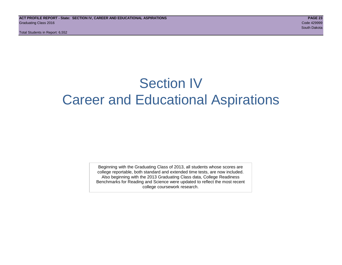# Section IV Career and Educational Aspirations

Beginning with the Graduating Class of 2013, all students whose scores are college reportable, both standard and extended time tests, are now included. Also beginning with the 2013 Graduating Class data, College Readiness Benchmarks for Reading and Science were updated to reflect the most recent college coursework research.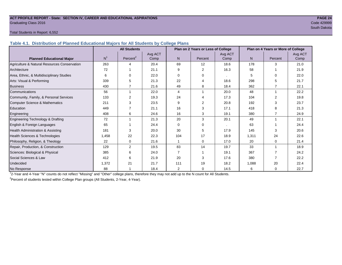#### **ACT PROFILE REPORT - State: SECTION IV, CAREER AND EDUCATIONAL ASPIRATIONS PAGE 24** Graduating Class 2016 Code 429999

Total Students in Report: 6,552

**Table 4.1. Distribution of Planned Educational Majors for All Students by College Plans**

|                                              |                | <b>All Students</b>  |         |          | Plan on 2 Years or Less of College |         | Plan on 4 Years or More of College |               |         |  |
|----------------------------------------------|----------------|----------------------|---------|----------|------------------------------------|---------|------------------------------------|---------------|---------|--|
|                                              |                |                      | Avg ACT |          |                                    | Avg ACT |                                    |               | Avg ACT |  |
| <b>Planned Educational Major</b>             | N <sup>1</sup> | Percent <sup>2</sup> | Comp    | N        | Percent                            | Comp    | N.                                 | Percent       | Comp    |  |
| Agriculture & Natural Resources Conservation | 263            | 4                    | 20.4    | 69       | 12                                 | 18.6    | 178                                | 3             | 21.0    |  |
| Architecture                                 | 72             |                      | 21.1    | 9        | 2                                  | 16.3    | 58                                 |               | 21.9    |  |
| Area, Ethnic, & Multidisciplinary Studies    | 6              | $\Omega$             | 22.0    | $\Omega$ | 0                                  |         | 5                                  | ∩             | 22.0    |  |
| Arts: Visual & Performing                    | 339            | 5                    | 21.3    | 22       |                                    | 18.6    | 298                                |               | 21.7    |  |
| <b>Business</b>                              | 430            |                      | 21.6    | 49       | 8                                  | 18.4    | 362                                |               | 22.1    |  |
| Communications                               | 56             | 1                    | 22.0    | 4        |                                    | 20.0    | 48                                 |               | 22.2    |  |
| Community, Family, & Personal Services       | 133            | $\overline{2}$       | 19.3    | 24       |                                    | 17.3    | 104                                | $\mathcal{P}$ | 19.8    |  |
| Computer Science & Mathematics               | 211            | 3                    | 23.5    | 9        | 2                                  | 20.8    | 192                                | 3             | 23.7    |  |
| Education                                    | 449            |                      | 21.1    | 16       | 3                                  | 17.1    | 418                                | 8             | 21.3    |  |
| Engineering                                  | 408            | 6                    | 24.6    | 16       | 3                                  | 19.1    | 380                                |               | 24.9    |  |
| Engineering Technology & Drafting            | 72             |                      | 21.3    | 20       | 3                                  | 20.1    | 49                                 |               | 22.1    |  |
| English & Foreign Languages                  | 65             |                      | 24.4    | 0        | 0                                  |         | 63                                 |               | 24.4    |  |
| Health Administration & Assisting            | 181            | 3                    | 20.0    | 30       | 5                                  | 17.9    | 145                                |               | 20.6    |  |
| Health Sciences & Technologies               | 1,458          | 22                   | 22.3    | 104      | 17                                 | 18.9    | 1,311                              | 24            | 22.6    |  |
| Philosophy, Religion, & Theology             | 22             | 0                    | 21.6    |          | 0                                  | 17.0    | 20                                 | $\mathbf 0$   | 21.4    |  |
| Repair, Production, & Construction           | 129            | $\overline{2}$       | 19.5    | 83       | 14                                 | 19.7    | 33                                 |               | 18.9    |  |
| Sciences: Biological & Physical              | 385            | 6                    | 24.0    | 7        |                                    | 19.1    | 367                                |               | 24.2    |  |
| Social Sciences & Law                        | 412            | 6                    | 21.9    | 20       | з                                  | 17.6    | 380                                |               | 22.2    |  |
| <b>Undecided</b>                             | 1,372          | 21                   | 21.7    | 111      | 19                                 | 18.2    | 1.088                              | 20            | 22.4    |  |
| No Response                                  | 88             |                      | 18.4    | 2        | 0                                  | 14.5    | 6                                  | 0             | 22.7    |  |

1 2-Year and 4-Year "N" counts do not reflect "Missing" and "Other" college plans, therefore they may not add up to the N count for All Students.

<sup>2</sup> Percent of students tested within College Plan groups (All Students, 2-Year, 4-Year).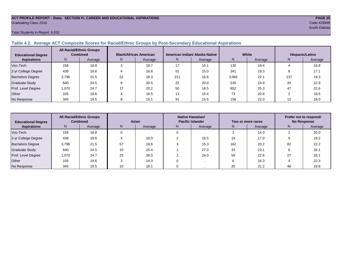#### **ACT PROFILE REPORT - State: SECTION IV, CAREER AND EDUCATIONAL ASPIRATIONS PAGE 25** Graduating Class 2016 Code 429999

# Total Students in Report: 6,552

# **Table 4.2. Average ACT Composite Scores for Racial/Ethnic Groups by Post-Secondary Educational Aspirations**

| <b>Educational Degree</b> |       | <b>All Racial/Ethnic Groups</b><br><b>Combined</b> |    | <b>Black/African American</b> |     | American Indian/ Alaska Native |       | White   |     | Hispanic/Latino |
|---------------------------|-------|----------------------------------------------------|----|-------------------------------|-----|--------------------------------|-------|---------|-----|-----------------|
| <b>Aspirations</b>        | N.    | Average                                            | N. | Average                       | N.  | Average                        | N.    | Average | N   | Average         |
| Voc-Tech                  | 158   | 18.8                                               |    | 18.7                          | 17  | 15.1                           | 130   | 19.4    |     | 16.8            |
| 2-yr College Degree       | 438   | 18.6                                               |    | 16.8                          | 51  | 15.0                           | 341   | 19.3    |     | 17.1            |
| <b>Bachelors Degree</b>   | 3.796 | 21.5                                               | 52 | 18.3                          | 211 | 16.6                           | 3,092 | 22.1    | 137 | 19.3            |
| <b>Graduate Study</b>     | 640   | 24.5                                               | 8  | 20.5                          | 25  | 20.0                           | 535   | 24.9    | 20  | 22.9            |
| Prof. Level Degree        | 1,070 | 24.7                                               | 17 | 20.2                          | 50  | 18.5                           | 852   | 25.3    | 47  | 22.6            |
| Other                     | 105   | 19.6                                               |    | 16.5                          | 13  | 15.4                           | 73    | 20.8    |     | 18.5            |
| No Response               | 345   | 19.5                                               |    | 15.1                          | 91  | 15.5                           | 156   | 22.0    | 12  | 18.0            |

| <b>Educational Degree</b> |       | <b>All Racial/Ethnic Groups</b><br><b>Combined</b> | Asian |         |          | Native Hawaiian/<br><b>Pacific Islander</b> |     | Two or more races | Prefer not to respond/<br><b>No Response</b> |         |  |
|---------------------------|-------|----------------------------------------------------|-------|---------|----------|---------------------------------------------|-----|-------------------|----------------------------------------------|---------|--|
| <b>Aspirations</b>        | N     | Average                                            | N     | Average | N.       | Average                                     | N.  | Average           | N                                            | Average |  |
| Voc-Tech                  | 158   | 18.8                                               |       |         | $^{(1)}$ |                                             |     | 14.0              |                                              | 20.0    |  |
| 2-yr College Degree       | 438   | 18.6                                               |       | 18.0    |          | 16.5                                        | 19  | 17.0              |                                              | 18.2    |  |
| <b>Bachelors Degree</b>   | 3.796 | 21.5                                               | 57    | 19.6    |          | 15.3                                        | 162 | 20.2              | 82                                           | 22.2    |  |
| <b>Graduate Study</b>     | 640   | 24.5                                               | 10    | 25.4    |          | 27.0                                        | 33  | 23.1              | ö                                            | 26.1    |  |
| Prof. Level Degree        | 1,070 | 24.7                                               | 25    | 26.0    |          | 24.0                                        | 50  | 22.6              | 27                                           | 26.1    |  |
| Other                     | 105   | 19.6                                               |       | 14.3    |          |                                             |     | 16.3              |                                              | 22.3    |  |
| No Response               | 345   | 19.5                                               | 10    | 18.1    |          |                                             | 20  | 21.2              | 48                                           | 19.8    |  |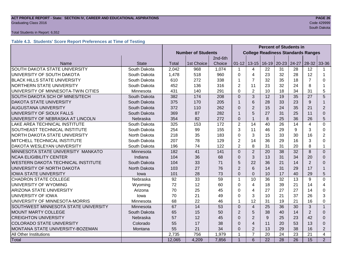# **ACT PROFILE REPORT - State: SECTION IV, CAREER AND EDUCATIONAL ASPIRATIONS PAGE 26** Graduating Class 2016 Code 429999

#### Total Students in Report: 6,552

# **Table 4.3. Students' Score Report Preferences at Time of Testing**

|                                      |              |              |                           |         | <b>Percent of Students in</b><br><b>College Readiness Standards Ranges</b> |                         |                 |                 |                 |                |                |
|--------------------------------------|--------------|--------------|---------------------------|---------|----------------------------------------------------------------------------|-------------------------|-----------------|-----------------|-----------------|----------------|----------------|
|                                      |              |              | <b>Number of Students</b> |         |                                                                            |                         |                 |                 |                 |                |                |
|                                      |              |              |                           | 2nd-6th |                                                                            |                         |                 |                 |                 |                |                |
| Name                                 | <b>State</b> | <b>Total</b> | 1st Choice                | Choice  |                                                                            | $01 - 12$ 13-15         | $16 - 19$       | $20 - 23$       | 24-27           | $28-32$ 33-36  |                |
| SOUTH DAKOTA STATE UNIVERSITY        | South Dakota | 2,042        | 968                       | 1,074   | $\mathbf 1$                                                                | 4                       | 22              | 31              | 28              | 12             |                |
| UNIVERSITY OF SOUTH DAKOTA           | South Dakota | 1,478        | 518                       | 960     | $\mathbf 0$                                                                | 4                       | 23              | 32              | 28              | 12             | 1              |
| <b>BLACK HILLS STATE UNIVERSITY</b>  | South Dakota | 610          | 272                       | 338     | 1                                                                          | $\overline{7}$          | 32              | 35              | 18              | 7              | $\Omega$       |
| NORTHERN STATE UNIVERSITY            | South Dakota | 452          | 136                       | 316     | $\overline{2}$                                                             | 11                      | 23              | 32              | 24              | 8              |                |
| UNIVERSITY OF MINNESOTA-TWIN CITIES  | Minnesota    | 431          | 140                       | 291     | $\mathbf 0$                                                                | $\overline{2}$          | 10              | 18              | 34              | 31             | 5              |
| SOUTH DAKOTA SCH OF MINES/TECH       | South Dakota | 382          | 174                       | 208     | $\Omega$                                                                   | 3                       | 12              | 19              | 35              | 27             | 5              |
| <b>DAKOTA STATE UNIVERSITY</b>       | South Dakota | 375          | 170                       | 205     | $\mathbf{1}$                                                               | 6                       | 28              | 33              | 23              | 9              | $\mathbf{1}$   |
| AUGUSTANA UNIVERSITY                 | South Dakota | 372          | 110                       | 262     | $\Omega$                                                                   | $\overline{2}$          | 15              | 24              | 35              | 21             | $\overline{2}$ |
| UNIVERSITY OF SIOUX FALLS            | South Dakota | 369          | 87                        | 282     | $\mathbf{1}$                                                               | 5                       | 27              | 31              | 25              | 11             | $\Omega$       |
| UNIVERSITY OF NEBRASKA AT LINCOLN    | Nebraska     | 354          | 82                        | 272     | $\mathbf 0$                                                                | 1                       | 8               | 25              | 36              | 26             | 5              |
| LAKE AREA TECHNICAL INSTITUTE        | South Dakota | 325          | 153                       | 172     | $\overline{2}$                                                             | 14                      | 40              | 26              | 14              | $\overline{4}$ | $\Omega$       |
| SOUTHEAST TECHNICAL INSTITUTE        | South Dakota | 254          | 99                        | 155     | 3                                                                          | 11                      | 46              | 29              | 9               | 3              | $\Omega$       |
| NORTH DAKOTA STATE UNIVERSITY        | North Dakota | 218          | 35                        | 183     | $\mathbf 0$                                                                | 3                       | 15              | 33              | 30              | 16             | $\overline{2}$ |
| MITCHELL TECHNICAL INSTITUTE         | South Dakota | 207          | 78                        | 129     | $\overline{2}$                                                             | 14                      | 36              | 29              | 16              | 3              | $\Omega$       |
| DAKOTA WESLEYAN UNIVERSITY           | South Dakota | 196          | 74                        | 122     | $\overline{2}$                                                             | 8                       | 31              | 31              | 20              | 8              | 1              |
| MINNESOTA STATE UNIVERSITY MANKATO   | Minnesota    | 182          | 41                        | 141     | $\overline{0}$                                                             | $\overline{2}$          | 20              | 38              | 32              | 8              | $\overline{0}$ |
| <b>NCAA ELIGIBILITY CENTER</b>       | Indiana      | 104          | 36                        | 68      | $\Omega$                                                                   | 3                       | 13              | 31              | 34              | 20             | $\Omega$       |
| WESTERN DAKOTA TECHNICAL INSTITUTE   | South Dakota | 104          | 33                        | 71      | 5                                                                          | 22                      | 36              | 21              | 14              | $\overline{2}$ | $\Omega$       |
| UNIVERSITY OF NORTH DAKOTA           | North Dakota | 103          | 27                        | 76      | $\overline{2}$                                                             | 6                       | 14              | 31              | 29              | 17             | 1              |
| <b>IOWA STATE UNIVERSITY</b>         | lowa         | 101          | 28                        | 73      | $\mathbf{0}$                                                               | $\overline{0}$          | 10              | 17              | 40              | 29             | 5              |
| <b>CHADRON STATE COLLEGE</b>         | Nebraska     | 92           | 33                        | 59      | $\mathbf{1}$                                                               | 10                      | 36              | 32              | 13              | 9              | $\mathbf 0$    |
| UNIVERSITY OF WYOMING                | Wyoming      | 72           | 12                        | 60      | $\mathbf 0$                                                                | 4                       | 18              | 39              | 21              | 14             | $\overline{4}$ |
| <b>ARIZONA STATE UNIVERSITY</b>      | Arizona      | 70           | 25                        | 45      | $\mathbf 0$                                                                | 4                       | 27              | 27              | 27              | 14             | $\Omega$       |
| UNIVERSITY OF IOWA                   | lowa         | 70           | 21                        | 49      | $\Omega$                                                                   | 3                       | 10              | 21              | 37              | 26             | 3              |
| UNIVERSITY OF MINNESOTA-MORRIS       | Minnesota    | 68           | 22                        | 46      | $\mathbf{1}$                                                               | 12                      | 31              | 19              | 21              | 16             | $\mathbf 0$    |
| SOUTHWEST MINNESOTA STATE UNIVERSITY | Minnesota    | 67           | 14                        | 53      | $\Omega$                                                                   | $\overline{\mathbf{4}}$ | 25              | 36              | 30              | 3              | $\mathbf{1}$   |
| <b>MOUNT MARTY COLLEGE</b>           | South Dakota | 65           | 15                        | 50      | $\overline{2}$                                                             | 5                       | 38              | 40              | 14              | $\overline{2}$ | $\Omega$       |
| <b>CREIGHTON UNIVERSITY</b>          | Nebraska     | 57           | 12                        | 45      | $\Omega$                                                                   | $\overline{2}$          | 9               | 25              | 23              | 42             | $\Omega$       |
| <b>COLORADO STATE UNIVERSITY</b>     | Colorado     | 55           | 17                        | 38      | $\Omega$                                                                   | $\overline{4}$          | 11              | 20              | 53              | 13             | $\Omega$       |
| MONTANA STATE UNIVERSITY-BOZEMAN     | Montana      | 55           | 21                        | 34      | $\overline{0}$                                                             | $\overline{2}$          | 13              | 29              | 38              | 16             | $\overline{2}$ |
| All Other Institutions               |              | 2,735        | 756                       | 1,979   | 1                                                                          | $\overline{7}$          | 20              | 24              | 23              | 21             | 4              |
| Total                                |              | 12,065       | 4,209                     | 7,856   | $\overline{1}$                                                             | 6                       | $\overline{22}$ | $\overline{28}$ | $\overline{26}$ | 15             | $\overline{2}$ |

South Dakota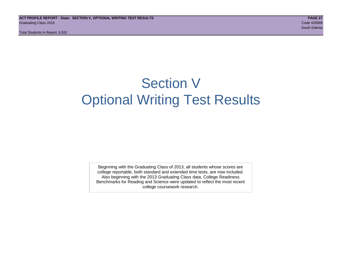# Section V Optional Writing Test Results

Beginning with the Graduating Class of 2013, all students whose scores are college reportable, both standard and extended time tests, are now included. Also beginning with the 2013 Graduating Class data, College Readiness Benchmarks for Reading and Science were updated to reflect the most recent college coursework research.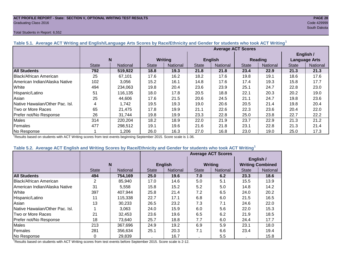#### **ACT PROFILE REPORT - State: SECTION V, OPTIONAL WRITING TEST RESULTS PAGE 28** Graduating Class 2016 Code 429999

#### Total Students in Report: 6,552

|                                 |              |          | <b>Average ACT Scores</b> |          |              |                 |              |          |              |                      |  |  |
|---------------------------------|--------------|----------|---------------------------|----------|--------------|-----------------|--------------|----------|--------------|----------------------|--|--|
|                                 |              |          |                           |          |              |                 |              |          |              | English /            |  |  |
|                                 |              | N        |                           | Writing  |              | <b>English</b>  |              | Reading  |              | <b>Language Arts</b> |  |  |
|                                 | <b>State</b> | National | <b>State</b>              | National | <b>State</b> | <b>National</b> | <b>State</b> | National | <b>State</b> | National             |  |  |
| <b>All Students</b>             | 792          | 519,922  | 18.8                      | 19.3     | 21.8         | 21.8            | 23.4         | 22.9     | 21.3         | 21.3                 |  |  |
| Black/African American          | 25           | 67,101   | 17.6                      | 16.2     | 18.2         | 17.6            | 19.8         | 19.1     | 18.6         | 17.6                 |  |  |
| American Indian/Alaska Native   | 102          | 3,056    | 15.2                      | 16.1     | 14.8         | 17.6            | 17.4         | 19.3     | 15.8         | 17.7                 |  |  |
| White                           | 494          | 234,063  | 19.8                      | 20.4     | 23.6         | 23.9            | 25.1         | 24.7     | 22.8         | 23.0                 |  |  |
| Hispanic/Latino                 | 51           | 116,135  | 18.0                      | 17.8     | 20.5         | 18.8            | 22.1         | 20.3     | 20.2         | 19.0                 |  |  |
| Asian                           | 25           | 44,606   | 17.6                      | 21.5     | 20.6         | 24.5            | 21.1         | 24.7     | 19.8         | 23.6                 |  |  |
| Native Hawaiian/Other Pac. Isl. | 4            | 1.742    | 19.5                      | 19.3     | 19.0         | 20.6            | 20.5         | 21.4     | 19.8         | 20.4                 |  |  |
| <b>Two or More Races</b>        | 65           | 21.475   | 17.8                      | 19.9     | 21.1         | 22.6            | 22.3         | 23.6     | 20.4         | 22.0                 |  |  |
| Prefer not/No Response          | 26           | 31,744   | 19.8                      | 19.9     | 23.3         | 22.8            | 25.0         | 23.8     | 22.7         | 22.2                 |  |  |
| Males                           | 314          | 220,204  | 18.2                      | 18.9     | 22.0         | 21.9            | 23.7         | 22.9     | 21.3         | 21.2                 |  |  |
| Females                         | 477          | 298,512  | 19.1                      | 19.6     | 21.6         | 21.8            | 23.1         | 22.8     | 21.3         | 21.4                 |  |  |
| No Response                     |              | 1,206    | 26.0                      | 16.3     | 27.0         | 16.8            | 23.0         | 19.0     | 25.0         | 17.3                 |  |  |

# **Table 5.1. Average ACT Writing and English/Language Arts Scores by Race/Ethnicity and Gender for students who took ACT Writing<sup>1</sup>**

<sup>1</sup>Results based on students with ACT Writing scores from test events beginning September 2015. Score scale is 1-36.

# **Table 5.2. Average ACT English and Writing Scores by Race/Ethnicity and Gender for students who took ACT Writing<sup>1</sup>**

|                                 |              |                 | <b>Average ACT Scores</b> |                 |              |                |              |                         |  |  |
|---------------------------------|--------------|-----------------|---------------------------|-----------------|--------------|----------------|--------------|-------------------------|--|--|
|                                 |              |                 |                           |                 |              |                | English /    |                         |  |  |
|                                 |              | N               |                           | <b>English</b>  |              | <b>Writing</b> |              | <b>Writing Combined</b> |  |  |
|                                 | <b>State</b> | <b>National</b> | <b>State</b>              | <b>National</b> | <b>State</b> | National       | <b>State</b> | National                |  |  |
| <b>All Students</b>             | 494          | 754,169         | 25.0                      | 19.6            | 7.0          | 6.2            | 23.3         | 18.6                    |  |  |
| Black/African American          | 2            | 85,940          | 17.0                      | 14.6            | 5.0          | 5.1            | 15.5         | 13.9                    |  |  |
| American Indian/Alaska Native   | 31           | 5,558           | 15.8                      | 15.2            | 5.2          | 5.0            | 14.8         | 14.2                    |  |  |
| <b>White</b>                    | 397          | 407,944         | 25.8                      | 21.4            | 7.2          | 6.5            | 24.0         | 20.2                    |  |  |
| Hispanic/Latino                 | 11           | 115,338         | 22.7                      | 17.1            | 6.8          | 6.0            | 21.5         | 16.5                    |  |  |
| Asian                           | 13           | 30,233          | 26.5                      | 23.2            | 7.3          | 7.1            | 24.6         | 22.0                    |  |  |
| Native Hawaiian/Other Pac. Isl. |              | 3,063           | 24.0                      | 15.9            | 6.0          | 5.6            | 22.0         | 15.3                    |  |  |
| <b>Two or More Races</b>        | 21           | 32,453          | 23.6                      | 19.6            | 6.5          | 6.2            | 21.9         | 18.5                    |  |  |
| Prefer not/No Response          | 18           | 73,640          | 25.7                      | 18.8            | 7.7          | 6.0            | 24.4         | 17.7                    |  |  |
| Males                           | 213          | 367,696         | 24.9                      | 19.2            | 6.9          | 5.9            | 23.1         | 18.0                    |  |  |
| Females                         | 281          | 356,634         | 25.1                      | 20.3            | 7.1          | 6.6            | 23.4         | 19.4                    |  |  |
| No Response                     | 0            | 29,839          |                           | 16.7            |              | 5.5            |              | 15.8                    |  |  |

<sup>1</sup>Results based on students with ACT Writing scores from test events before September 2015. Score scale is 2-12.